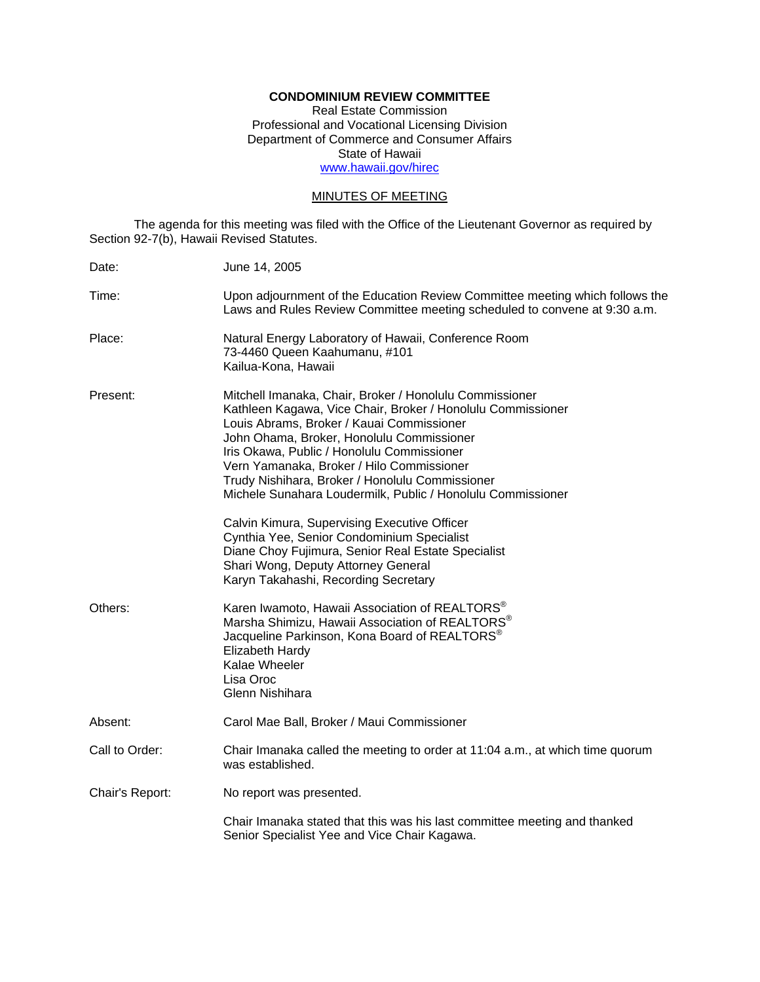## **CONDOMINIUM REVIEW COMMITTEE**

Real Estate Commission Professional and Vocational Licensing Division Department of Commerce and Consumer Affairs State of Hawaii www.hawaii.gov/hirec

## MINUTES OF MEETING

The agenda for this meeting was filed with the Office of the Lieutenant Governor as required by Section 92-7(b), Hawaii Revised Statutes.

| Date:           | June 14, 2005                                                                                                                                                                                                                                                                                                                                                                                                                                                                                                                                                                                                                                                    |
|-----------------|------------------------------------------------------------------------------------------------------------------------------------------------------------------------------------------------------------------------------------------------------------------------------------------------------------------------------------------------------------------------------------------------------------------------------------------------------------------------------------------------------------------------------------------------------------------------------------------------------------------------------------------------------------------|
| Time:           | Upon adjournment of the Education Review Committee meeting which follows the<br>Laws and Rules Review Committee meeting scheduled to convene at 9:30 a.m.                                                                                                                                                                                                                                                                                                                                                                                                                                                                                                        |
| Place:          | Natural Energy Laboratory of Hawaii, Conference Room<br>73-4460 Queen Kaahumanu, #101<br>Kailua-Kona, Hawaii                                                                                                                                                                                                                                                                                                                                                                                                                                                                                                                                                     |
| Present:        | Mitchell Imanaka, Chair, Broker / Honolulu Commissioner<br>Kathleen Kagawa, Vice Chair, Broker / Honolulu Commissioner<br>Louis Abrams, Broker / Kauai Commissioner<br>John Ohama, Broker, Honolulu Commissioner<br>Iris Okawa, Public / Honolulu Commissioner<br>Vern Yamanaka, Broker / Hilo Commissioner<br>Trudy Nishihara, Broker / Honolulu Commissioner<br>Michele Sunahara Loudermilk, Public / Honolulu Commissioner<br>Calvin Kimura, Supervising Executive Officer<br>Cynthia Yee, Senior Condominium Specialist<br>Diane Choy Fujimura, Senior Real Estate Specialist<br>Shari Wong, Deputy Attorney General<br>Karyn Takahashi, Recording Secretary |
| Others:         | Karen Iwamoto, Hawaii Association of REALTORS <sup>®</sup><br>Marsha Shimizu, Hawaii Association of REALTORS®<br>Jacqueline Parkinson, Kona Board of REALTORS <sup>®</sup><br>Elizabeth Hardy<br>Kalae Wheeler<br>Lisa Oroc<br>Glenn Nishihara                                                                                                                                                                                                                                                                                                                                                                                                                   |
| Absent:         | Carol Mae Ball, Broker / Maui Commissioner                                                                                                                                                                                                                                                                                                                                                                                                                                                                                                                                                                                                                       |
| Call to Order:  | Chair Imanaka called the meeting to order at 11:04 a.m., at which time quorum<br>was established.                                                                                                                                                                                                                                                                                                                                                                                                                                                                                                                                                                |
| Chair's Report: | No report was presented.                                                                                                                                                                                                                                                                                                                                                                                                                                                                                                                                                                                                                                         |
|                 | Chair Imanaka stated that this was his last committee meeting and thanked<br>Senior Specialist Yee and Vice Chair Kagawa.                                                                                                                                                                                                                                                                                                                                                                                                                                                                                                                                        |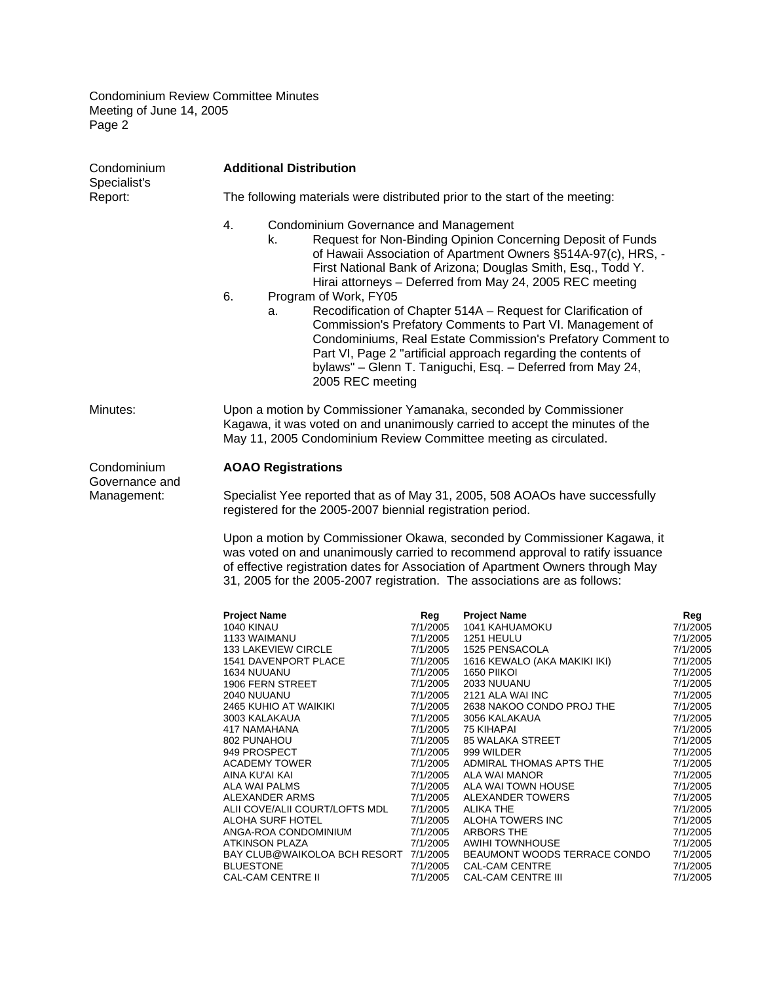| <b>Additional Distribution</b><br>Condominium<br>Specialist's |                                                                                                                                                                                                                                                                                                                                                                                                                                                                                                                                 |                                                                                                                                                                                                                                                                             |                                                                                                                                                                                                                                                                                                                                                                                                                                                                                                     |                                                                                                                                                                                                                                                                                         |  |  |
|---------------------------------------------------------------|---------------------------------------------------------------------------------------------------------------------------------------------------------------------------------------------------------------------------------------------------------------------------------------------------------------------------------------------------------------------------------------------------------------------------------------------------------------------------------------------------------------------------------|-----------------------------------------------------------------------------------------------------------------------------------------------------------------------------------------------------------------------------------------------------------------------------|-----------------------------------------------------------------------------------------------------------------------------------------------------------------------------------------------------------------------------------------------------------------------------------------------------------------------------------------------------------------------------------------------------------------------------------------------------------------------------------------------------|-----------------------------------------------------------------------------------------------------------------------------------------------------------------------------------------------------------------------------------------------------------------------------------------|--|--|
| Report:                                                       | The following materials were distributed prior to the start of the meeting:                                                                                                                                                                                                                                                                                                                                                                                                                                                     |                                                                                                                                                                                                                                                                             |                                                                                                                                                                                                                                                                                                                                                                                                                                                                                                     |                                                                                                                                                                                                                                                                                         |  |  |
|                                                               | 4.<br><b>Condominium Governance and Management</b><br>k.                                                                                                                                                                                                                                                                                                                                                                                                                                                                        |                                                                                                                                                                                                                                                                             | Request for Non-Binding Opinion Concerning Deposit of Funds<br>of Hawaii Association of Apartment Owners §514A-97(c), HRS, -<br>First National Bank of Arizona; Douglas Smith, Esq., Todd Y.<br>Hirai attorneys - Deferred from May 24, 2005 REC meeting                                                                                                                                                                                                                                            |                                                                                                                                                                                                                                                                                         |  |  |
|                                                               | 6.<br>Program of Work, FY05<br>a.<br>2005 REC meeting                                                                                                                                                                                                                                                                                                                                                                                                                                                                           |                                                                                                                                                                                                                                                                             | Recodification of Chapter 514A - Request for Clarification of<br>Commission's Prefatory Comments to Part VI. Management of<br>Condominiums, Real Estate Commission's Prefatory Comment to<br>Part VI, Page 2 "artificial approach regarding the contents of<br>bylaws" - Glenn T. Taniguchi, Esq. - Deferred from May 24,                                                                                                                                                                           |                                                                                                                                                                                                                                                                                         |  |  |
| Minutes:                                                      | Upon a motion by Commissioner Yamanaka, seconded by Commissioner<br>Kagawa, it was voted on and unanimously carried to accept the minutes of the<br>May 11, 2005 Condominium Review Committee meeting as circulated.                                                                                                                                                                                                                                                                                                            |                                                                                                                                                                                                                                                                             |                                                                                                                                                                                                                                                                                                                                                                                                                                                                                                     |                                                                                                                                                                                                                                                                                         |  |  |
| Condominium<br>Governance and<br>Management:                  | <b>AOAO Registrations</b><br>registered for the 2005-2007 biennial registration period.<br>31, 2005 for the 2005-2007 registration. The associations are as follows:                                                                                                                                                                                                                                                                                                                                                            |                                                                                                                                                                                                                                                                             | Specialist Yee reported that as of May 31, 2005, 508 AOAOs have successfully<br>Upon a motion by Commissioner Okawa, seconded by Commissioner Kagawa, it<br>was voted on and unanimously carried to recommend approval to ratify issuance<br>of effective registration dates for Association of Apartment Owners through May                                                                                                                                                                        |                                                                                                                                                                                                                                                                                         |  |  |
|                                                               | <b>Project Name</b><br>1040 KINAU<br>1133 WAIMANU<br><b>133 LAKEVIEW CIRCLE</b><br>1541 DAVENPORT PLACE<br>1634 NUUANU<br>1906 FERN STREET<br>2040 NUUANU<br>2465 KUHIO AT WAIKIKI<br>3003 KALAKAUA<br>417 NAMAHANA<br>802 PUNAHOU<br>949 PROSPECT<br><b>ACADEMY TOWER</b><br>AINA KU'AI KAI<br>ALA WAI PALMS<br>ALEXANDER ARMS<br>ALII COVE/ALII COURT/LOFTS MDL<br>ALOHA SURF HOTEL<br>ANGA-ROA CONDOMINIUM<br><b>ATKINSON PLAZA</b><br>BAY CLUB@WAIKOLOA BCH RESORT 7/1/2005<br><b>BLUESTONE</b><br><b>CAL-CAM CENTRE II</b> | Reg<br>7/1/2005<br>7/1/2005<br>7/1/2005<br>7/1/2005<br>7/1/2005<br>7/1/2005<br>7/1/2005<br>7/1/2005<br>7/1/2005<br>7/1/2005<br>7/1/2005<br>7/1/2005<br>7/1/2005<br>7/1/2005<br>7/1/2005<br>7/1/2005<br>7/1/2005<br>7/1/2005<br>7/1/2005<br>7/1/2005<br>7/1/2005<br>7/1/2005 | <b>Project Name</b><br>1041 KAHUAMOKU<br>1251 HEULU<br>1525 PENSACOLA<br>1616 KEWALO (AKA MAKIKI IKI)<br>1650 PIIKOI<br>2033 NUUANU<br>2121 ALA WAI INC<br>2638 NAKOO CONDO PROJ THE<br>3056 KALAKAUA<br>75 KIHAPAI<br>85 WALAKA STREET<br>999 WILDER<br>ADMIRAL THOMAS APTS THE<br>ALA WAI MANOR<br>ALA WAI TOWN HOUSE<br>ALEXANDER TOWERS<br>ALIKA THE<br>ALOHA TOWERS INC<br>ARBORS THE<br><b>AWIHI TOWNHOUSE</b><br>BEAUMONT WOODS TERRACE CONDO<br>CAL-CAM CENTRE<br><b>CAL-CAM CENTRE III</b> | Reg<br>7/1/2005<br>7/1/2005<br>7/1/2005<br>7/1/2005<br>7/1/2005<br>7/1/2005<br>7/1/2005<br>7/1/2005<br>7/1/2005<br>7/1/2005<br>7/1/2005<br>7/1/2005<br>7/1/2005<br>7/1/2005<br>7/1/2005<br>7/1/2005<br>7/1/2005<br>7/1/2005<br>7/1/2005<br>7/1/2005<br>7/1/2005<br>7/1/2005<br>7/1/2005 |  |  |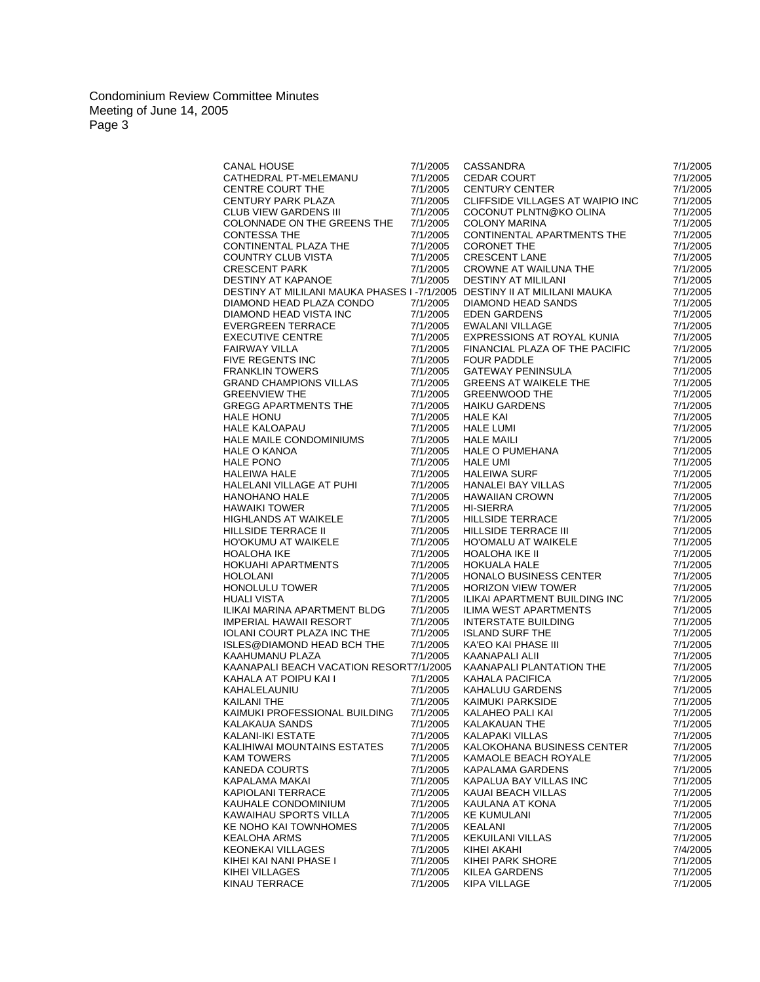| CANAL HOUSE 7/1/2005<br>CATHEDRAL PT-MELEMANU 7/1/2005<br>CENTRE COURT THE 7/1/2005<br>CENTURY PARK PLAZA 7/1/2005<br>CLUB VIEW GARDENS III 7/1/2005<br>CASSANDRA<br>CEDAR COURT<br>CENTURY CENTER<br>7/1/2005<br>7/1/2005<br><b>CENTURY CENTER</b><br>CLIFFSIDE VILLAGES AT WAIPIO INC<br>7/1/2005<br>COCONUT PLNTN@KO OLINA<br>7/1/2005<br>COLONNADE ON THE GREENS THE 7/1/2005<br><b>COLONY MARINA</b><br>7/1/2005<br>CONTESSA THE<br>CONTINENTAL APARTMENTS THE<br>7/1/2005<br>7/1/2005<br>CONTESSA THE<br>CONTINENTAL PLAZA THE<br>COUNTRY CLUB VISTA<br>CRESCENT PARK<br>DESTINY AT KAPANOE<br>7/1/2005<br>CONTINENTAL PLAZA THE<br>COUNTRY CLUB VISTA<br>COUNTRY CLUB VISTA<br>CRESCENT PARK<br>CRESCENT PARK<br>DESTINY AT KAPANOE<br>DESTINY AT MILILANI MAUKA PHASES I -7/1/2005<br>DESTINY AT MILILANI<br>DESTINY AT MILILANI MAUKA PHASES I -7/1/20<br>7/1/2005<br>7/1/2005<br>7/1/2005<br>7/1/2005<br>7/1/2005<br>DIAMOND HEAD PLAZA CONDO<br>DIAMOND HEAD PLAZA CONDO<br>DIAMOND HEAD VISTA INC<br>EVERGREEN TERRACE<br>EXECUTIVE CENTRE<br>FAIRWAY VILLA<br>FIVE REGENTS INC<br>FRANKLIN TOWERS<br>GREENVIEW THE<br>7/1/2005<br>7/1/2005<br>7/1/2005<br>FINANCIAL PLAZA OF THE PACIFIC<br>7/1/2005<br>7/1/2005<br><b>FOUR PADDLE</b><br>7/1/2005<br>7/1/2005<br>FINANCIAL PLACE OF THE FACING<br>CATEWAY PENINSULA<br>GREENS AT WAIKELE THE<br>GREENWOOD THE<br>HAIKU GARDENS<br>HALE KAI<br>HALE LUMI<br>HALE LUMI<br>HALE O PUMEHANA<br>HALE UMI<br>HALE UMI<br>HALE UMI<br>HALE UMI<br>HALE UMI<br>HALE BAY VILLAS<br>HAWAIIAN GROWN<br>HI-<br>7/1/2005<br>7/1/2005<br>7/1/2005<br>7/1/2005<br>7/1/2005<br>7/1/2005<br>GREGG APARTMENTS THE<br>HALE HONU<br>HALE KALOAPAU<br>7/1/2005<br>7/1/2005<br>7/1/2005<br>7/1/2005<br>HALE KALOAPAU<br>HALE MAILE CONDOMINIUMS<br>7/1/2005<br>7/1/2005<br>7/1/2005<br>7/1/2005<br>7/1/2005<br>7/1/2005<br>HALE MAILE CONDOMINIUMS<br>HALE O KANOA<br>HALE PONO<br>HALE HALE MAILE<br>HALE MADI VILLAGE AT PUHI<br>HANOHANO HALE<br>HAWAIKI TOWER<br>HIGHLANDS AT WAIKELE<br>HILLSIDE TERRACE II<br>HO'OKUMU AT WAIKELE<br>HO'OKUMU AT WAIKELE<br>HOALOHA IKE<br><br>7/1/2005<br>7/1/2005<br>7/1/2005<br>7/1/2005<br>7/1/2005<br>7/1/2005<br>7/1/2005<br>7/1/2005<br>7/1/2005<br>7/1/2005<br>7/1/2005<br>7/1/2005<br>7/1/2005<br>7/1/2005<br>7/1/2005<br>7/1/2005<br>7/1/2005<br>7/1/2005<br>7/1/2005<br>7/1/2005<br>7/1/2005<br>7/1/2005<br><b>HORIZON VIEW TOWER</b><br>7/1/2005<br>7/1/2005<br>HORIZON VIEW TOWER<br>ILIKAI APARTMENT BUILDING INC<br>ILIMA WEST APARTMENTS<br>INTERSTATE BUILDING<br>ISLAND SURF THE<br>KAFO KAI PHASE III<br>KAANAPALI PLANTATION THE<br>KAHALA PACIFICA<br>KAHALUU GARDENS<br>KAIMUKI PARKSIDE<br>KAIMUKI PARKSIDE<br>KAIMU<br>HUALI VISTA<br>7/1/2005<br>7/1/2005<br>ILIKAI MARINA APARTMENT BLDG<br>7/1/2005<br>7/1/2005<br>IMPERIAL HAWAII RESORT<br>7/1/2005<br>7/1/2005<br><b>IOLANI COURT PLAZA INC THE</b><br>7/1/2005<br>7/1/2005<br>ISLES@DIAMOND HEAD BCH THE<br>7/1/2005<br>7/1/2005<br>KAAHUMANU PLAZA<br>7/1/2005<br>7/1/2005<br>KAANAPALI BEACH VACATION RESORT7/1/2005<br>7/1/2005<br>KAHALA AT POIPU KAI I<br>KAHALELAUNIU<br>KAILANI THE<br>7/1/2005<br>7/1/2005<br>7/1/2005<br>7/1/2005<br>KAILANI THE<br>7/1/2005<br>7/1/2005<br>KAIMUKI PROFESSIONAL BUILDING<br>7/1/2005<br>7/1/2005<br>KALAKAUA SANDS<br>KALAKAUAN THE<br>7/1/2005<br>7/1/2005<br>KALANI-IKI ESTATE<br>7/1/2005<br><b>KALAPAKI VILLAS</b><br>7/1/2005<br>KALIHIWAI MOUNTAINS ESTATES<br>7/1/2005<br>KALOKOHANA BUSINESS CENTER<br>7/1/2005<br>KAMAOLE BEACH ROYALE<br>KAM TOWERS<br>7/1/2005<br>7/1/2005<br><b>KANEDA COURTS</b><br>KAPALAMA GARDENS<br>7/1/2005<br>7/1/2005<br>KAPALAMA MAKAI<br>7/1/2005<br>KAPALUA BAY VILLAS INC<br>7/1/2005<br>KAUAI BEACH VILLAS<br>KAPIOLANI TERRACE<br>7/1/2005<br>7/1/2005<br>KAUHALE CONDOMINIUM<br>KAULANA AT KONA<br>7/1/2005<br>7/1/2005<br>KAWAIHAU SPORTS VILLA<br><b>KE KUMULANI</b><br>7/1/2005<br>7/1/2005<br>KE NOHO KAI TOWNHOMES<br>KEALANI<br>7/1/2005<br>7/1/2005<br>KEALOHA ARMS<br>7/1/2005<br>KEKUILANI VILLAS<br>7/1/2005<br>KEONEKAI VILLAGES<br>7/1/2005<br>KIHEI AKAHI<br>7/4/2005<br>KIHEI KAI NANI PHASE I<br>7/1/2005<br>KIHEI PARK SHORE<br>7/1/2005<br>KIHEI VILLAGES<br>KILEA GARDENS<br>7/1/2005<br>7/1/2005<br>KINAU TERRACE<br>KIPA VILLAGE<br>7/1/2005<br>7/1/2005 |  | 7/1/2005 |
|--------------------------------------------------------------------------------------------------------------------------------------------------------------------------------------------------------------------------------------------------------------------------------------------------------------------------------------------------------------------------------------------------------------------------------------------------------------------------------------------------------------------------------------------------------------------------------------------------------------------------------------------------------------------------------------------------------------------------------------------------------------------------------------------------------------------------------------------------------------------------------------------------------------------------------------------------------------------------------------------------------------------------------------------------------------------------------------------------------------------------------------------------------------------------------------------------------------------------------------------------------------------------------------------------------------------------------------------------------------------------------------------------------------------------------------------------------------------------------------------------------------------------------------------------------------------------------------------------------------------------------------------------------------------------------------------------------------------------------------------------------------------------------------------------------------------------------------------------------------------------------------------------------------------------------------------------------------------------------------------------------------------------------------------------------------------------------------------------------------------------------------------------------------------------------------------------------------------------------------------------------------------------------------------------------------------------------------------------------------------------------------------------------------------------------------------------------------------------------------------------------------------------------------------------------------------------------------------------------------------------------------------------------------------------------------------------------------------------------------------------------------------------------------------------------------------------------------------------------------------------------------------------------------------------------------------------------------------------------------------------------------------------------------------------------------------------------------------------------------------------------------------------------------------------------------------------------------------------------------------------------------------------------------------------------------------------------------------------------------------------------------------------------------------------------------------------------------------------------------------------------------------------------------------------------------------------------------------------------------------------------------------------------------------------------------------------------------------------------------------------------------------------------------------------------------------------------------------------------------------------------------------------------------------------------------------------------------------------------------------------------------------------------------------------------------------------------------------------------------------------------------------------------------------------------------------------------------------------------------------------------------------------------------------------------------------------------|--|----------|
|                                                                                                                                                                                                                                                                                                                                                                                                                                                                                                                                                                                                                                                                                                                                                                                                                                                                                                                                                                                                                                                                                                                                                                                                                                                                                                                                                                                                                                                                                                                                                                                                                                                                                                                                                                                                                                                                                                                                                                                                                                                                                                                                                                                                                                                                                                                                                                                                                                                                                                                                                                                                                                                                                                                                                                                                                                                                                                                                                                                                                                                                                                                                                                                                                                                                                                                                                                                                                                                                                                                                                                                                                                                                                                                                                                                                                                                                                                                                                                                                                                                                                                                                                                                                                                                                                                                                |  |          |
|                                                                                                                                                                                                                                                                                                                                                                                                                                                                                                                                                                                                                                                                                                                                                                                                                                                                                                                                                                                                                                                                                                                                                                                                                                                                                                                                                                                                                                                                                                                                                                                                                                                                                                                                                                                                                                                                                                                                                                                                                                                                                                                                                                                                                                                                                                                                                                                                                                                                                                                                                                                                                                                                                                                                                                                                                                                                                                                                                                                                                                                                                                                                                                                                                                                                                                                                                                                                                                                                                                                                                                                                                                                                                                                                                                                                                                                                                                                                                                                                                                                                                                                                                                                                                                                                                                                                |  |          |
|                                                                                                                                                                                                                                                                                                                                                                                                                                                                                                                                                                                                                                                                                                                                                                                                                                                                                                                                                                                                                                                                                                                                                                                                                                                                                                                                                                                                                                                                                                                                                                                                                                                                                                                                                                                                                                                                                                                                                                                                                                                                                                                                                                                                                                                                                                                                                                                                                                                                                                                                                                                                                                                                                                                                                                                                                                                                                                                                                                                                                                                                                                                                                                                                                                                                                                                                                                                                                                                                                                                                                                                                                                                                                                                                                                                                                                                                                                                                                                                                                                                                                                                                                                                                                                                                                                                                |  |          |
|                                                                                                                                                                                                                                                                                                                                                                                                                                                                                                                                                                                                                                                                                                                                                                                                                                                                                                                                                                                                                                                                                                                                                                                                                                                                                                                                                                                                                                                                                                                                                                                                                                                                                                                                                                                                                                                                                                                                                                                                                                                                                                                                                                                                                                                                                                                                                                                                                                                                                                                                                                                                                                                                                                                                                                                                                                                                                                                                                                                                                                                                                                                                                                                                                                                                                                                                                                                                                                                                                                                                                                                                                                                                                                                                                                                                                                                                                                                                                                                                                                                                                                                                                                                                                                                                                                                                |  |          |
|                                                                                                                                                                                                                                                                                                                                                                                                                                                                                                                                                                                                                                                                                                                                                                                                                                                                                                                                                                                                                                                                                                                                                                                                                                                                                                                                                                                                                                                                                                                                                                                                                                                                                                                                                                                                                                                                                                                                                                                                                                                                                                                                                                                                                                                                                                                                                                                                                                                                                                                                                                                                                                                                                                                                                                                                                                                                                                                                                                                                                                                                                                                                                                                                                                                                                                                                                                                                                                                                                                                                                                                                                                                                                                                                                                                                                                                                                                                                                                                                                                                                                                                                                                                                                                                                                                                                |  |          |
|                                                                                                                                                                                                                                                                                                                                                                                                                                                                                                                                                                                                                                                                                                                                                                                                                                                                                                                                                                                                                                                                                                                                                                                                                                                                                                                                                                                                                                                                                                                                                                                                                                                                                                                                                                                                                                                                                                                                                                                                                                                                                                                                                                                                                                                                                                                                                                                                                                                                                                                                                                                                                                                                                                                                                                                                                                                                                                                                                                                                                                                                                                                                                                                                                                                                                                                                                                                                                                                                                                                                                                                                                                                                                                                                                                                                                                                                                                                                                                                                                                                                                                                                                                                                                                                                                                                                |  |          |
|                                                                                                                                                                                                                                                                                                                                                                                                                                                                                                                                                                                                                                                                                                                                                                                                                                                                                                                                                                                                                                                                                                                                                                                                                                                                                                                                                                                                                                                                                                                                                                                                                                                                                                                                                                                                                                                                                                                                                                                                                                                                                                                                                                                                                                                                                                                                                                                                                                                                                                                                                                                                                                                                                                                                                                                                                                                                                                                                                                                                                                                                                                                                                                                                                                                                                                                                                                                                                                                                                                                                                                                                                                                                                                                                                                                                                                                                                                                                                                                                                                                                                                                                                                                                                                                                                                                                |  |          |
|                                                                                                                                                                                                                                                                                                                                                                                                                                                                                                                                                                                                                                                                                                                                                                                                                                                                                                                                                                                                                                                                                                                                                                                                                                                                                                                                                                                                                                                                                                                                                                                                                                                                                                                                                                                                                                                                                                                                                                                                                                                                                                                                                                                                                                                                                                                                                                                                                                                                                                                                                                                                                                                                                                                                                                                                                                                                                                                                                                                                                                                                                                                                                                                                                                                                                                                                                                                                                                                                                                                                                                                                                                                                                                                                                                                                                                                                                                                                                                                                                                                                                                                                                                                                                                                                                                                                |  |          |
|                                                                                                                                                                                                                                                                                                                                                                                                                                                                                                                                                                                                                                                                                                                                                                                                                                                                                                                                                                                                                                                                                                                                                                                                                                                                                                                                                                                                                                                                                                                                                                                                                                                                                                                                                                                                                                                                                                                                                                                                                                                                                                                                                                                                                                                                                                                                                                                                                                                                                                                                                                                                                                                                                                                                                                                                                                                                                                                                                                                                                                                                                                                                                                                                                                                                                                                                                                                                                                                                                                                                                                                                                                                                                                                                                                                                                                                                                                                                                                                                                                                                                                                                                                                                                                                                                                                                |  |          |
|                                                                                                                                                                                                                                                                                                                                                                                                                                                                                                                                                                                                                                                                                                                                                                                                                                                                                                                                                                                                                                                                                                                                                                                                                                                                                                                                                                                                                                                                                                                                                                                                                                                                                                                                                                                                                                                                                                                                                                                                                                                                                                                                                                                                                                                                                                                                                                                                                                                                                                                                                                                                                                                                                                                                                                                                                                                                                                                                                                                                                                                                                                                                                                                                                                                                                                                                                                                                                                                                                                                                                                                                                                                                                                                                                                                                                                                                                                                                                                                                                                                                                                                                                                                                                                                                                                                                |  |          |
|                                                                                                                                                                                                                                                                                                                                                                                                                                                                                                                                                                                                                                                                                                                                                                                                                                                                                                                                                                                                                                                                                                                                                                                                                                                                                                                                                                                                                                                                                                                                                                                                                                                                                                                                                                                                                                                                                                                                                                                                                                                                                                                                                                                                                                                                                                                                                                                                                                                                                                                                                                                                                                                                                                                                                                                                                                                                                                                                                                                                                                                                                                                                                                                                                                                                                                                                                                                                                                                                                                                                                                                                                                                                                                                                                                                                                                                                                                                                                                                                                                                                                                                                                                                                                                                                                                                                |  |          |
|                                                                                                                                                                                                                                                                                                                                                                                                                                                                                                                                                                                                                                                                                                                                                                                                                                                                                                                                                                                                                                                                                                                                                                                                                                                                                                                                                                                                                                                                                                                                                                                                                                                                                                                                                                                                                                                                                                                                                                                                                                                                                                                                                                                                                                                                                                                                                                                                                                                                                                                                                                                                                                                                                                                                                                                                                                                                                                                                                                                                                                                                                                                                                                                                                                                                                                                                                                                                                                                                                                                                                                                                                                                                                                                                                                                                                                                                                                                                                                                                                                                                                                                                                                                                                                                                                                                                |  |          |
|                                                                                                                                                                                                                                                                                                                                                                                                                                                                                                                                                                                                                                                                                                                                                                                                                                                                                                                                                                                                                                                                                                                                                                                                                                                                                                                                                                                                                                                                                                                                                                                                                                                                                                                                                                                                                                                                                                                                                                                                                                                                                                                                                                                                                                                                                                                                                                                                                                                                                                                                                                                                                                                                                                                                                                                                                                                                                                                                                                                                                                                                                                                                                                                                                                                                                                                                                                                                                                                                                                                                                                                                                                                                                                                                                                                                                                                                                                                                                                                                                                                                                                                                                                                                                                                                                                                                |  |          |
|                                                                                                                                                                                                                                                                                                                                                                                                                                                                                                                                                                                                                                                                                                                                                                                                                                                                                                                                                                                                                                                                                                                                                                                                                                                                                                                                                                                                                                                                                                                                                                                                                                                                                                                                                                                                                                                                                                                                                                                                                                                                                                                                                                                                                                                                                                                                                                                                                                                                                                                                                                                                                                                                                                                                                                                                                                                                                                                                                                                                                                                                                                                                                                                                                                                                                                                                                                                                                                                                                                                                                                                                                                                                                                                                                                                                                                                                                                                                                                                                                                                                                                                                                                                                                                                                                                                                |  |          |
|                                                                                                                                                                                                                                                                                                                                                                                                                                                                                                                                                                                                                                                                                                                                                                                                                                                                                                                                                                                                                                                                                                                                                                                                                                                                                                                                                                                                                                                                                                                                                                                                                                                                                                                                                                                                                                                                                                                                                                                                                                                                                                                                                                                                                                                                                                                                                                                                                                                                                                                                                                                                                                                                                                                                                                                                                                                                                                                                                                                                                                                                                                                                                                                                                                                                                                                                                                                                                                                                                                                                                                                                                                                                                                                                                                                                                                                                                                                                                                                                                                                                                                                                                                                                                                                                                                                                |  |          |
|                                                                                                                                                                                                                                                                                                                                                                                                                                                                                                                                                                                                                                                                                                                                                                                                                                                                                                                                                                                                                                                                                                                                                                                                                                                                                                                                                                                                                                                                                                                                                                                                                                                                                                                                                                                                                                                                                                                                                                                                                                                                                                                                                                                                                                                                                                                                                                                                                                                                                                                                                                                                                                                                                                                                                                                                                                                                                                                                                                                                                                                                                                                                                                                                                                                                                                                                                                                                                                                                                                                                                                                                                                                                                                                                                                                                                                                                                                                                                                                                                                                                                                                                                                                                                                                                                                                                |  |          |
|                                                                                                                                                                                                                                                                                                                                                                                                                                                                                                                                                                                                                                                                                                                                                                                                                                                                                                                                                                                                                                                                                                                                                                                                                                                                                                                                                                                                                                                                                                                                                                                                                                                                                                                                                                                                                                                                                                                                                                                                                                                                                                                                                                                                                                                                                                                                                                                                                                                                                                                                                                                                                                                                                                                                                                                                                                                                                                                                                                                                                                                                                                                                                                                                                                                                                                                                                                                                                                                                                                                                                                                                                                                                                                                                                                                                                                                                                                                                                                                                                                                                                                                                                                                                                                                                                                                                |  |          |
|                                                                                                                                                                                                                                                                                                                                                                                                                                                                                                                                                                                                                                                                                                                                                                                                                                                                                                                                                                                                                                                                                                                                                                                                                                                                                                                                                                                                                                                                                                                                                                                                                                                                                                                                                                                                                                                                                                                                                                                                                                                                                                                                                                                                                                                                                                                                                                                                                                                                                                                                                                                                                                                                                                                                                                                                                                                                                                                                                                                                                                                                                                                                                                                                                                                                                                                                                                                                                                                                                                                                                                                                                                                                                                                                                                                                                                                                                                                                                                                                                                                                                                                                                                                                                                                                                                                                |  |          |
|                                                                                                                                                                                                                                                                                                                                                                                                                                                                                                                                                                                                                                                                                                                                                                                                                                                                                                                                                                                                                                                                                                                                                                                                                                                                                                                                                                                                                                                                                                                                                                                                                                                                                                                                                                                                                                                                                                                                                                                                                                                                                                                                                                                                                                                                                                                                                                                                                                                                                                                                                                                                                                                                                                                                                                                                                                                                                                                                                                                                                                                                                                                                                                                                                                                                                                                                                                                                                                                                                                                                                                                                                                                                                                                                                                                                                                                                                                                                                                                                                                                                                                                                                                                                                                                                                                                                |  |          |
|                                                                                                                                                                                                                                                                                                                                                                                                                                                                                                                                                                                                                                                                                                                                                                                                                                                                                                                                                                                                                                                                                                                                                                                                                                                                                                                                                                                                                                                                                                                                                                                                                                                                                                                                                                                                                                                                                                                                                                                                                                                                                                                                                                                                                                                                                                                                                                                                                                                                                                                                                                                                                                                                                                                                                                                                                                                                                                                                                                                                                                                                                                                                                                                                                                                                                                                                                                                                                                                                                                                                                                                                                                                                                                                                                                                                                                                                                                                                                                                                                                                                                                                                                                                                                                                                                                                                |  |          |
|                                                                                                                                                                                                                                                                                                                                                                                                                                                                                                                                                                                                                                                                                                                                                                                                                                                                                                                                                                                                                                                                                                                                                                                                                                                                                                                                                                                                                                                                                                                                                                                                                                                                                                                                                                                                                                                                                                                                                                                                                                                                                                                                                                                                                                                                                                                                                                                                                                                                                                                                                                                                                                                                                                                                                                                                                                                                                                                                                                                                                                                                                                                                                                                                                                                                                                                                                                                                                                                                                                                                                                                                                                                                                                                                                                                                                                                                                                                                                                                                                                                                                                                                                                                                                                                                                                                                |  |          |
|                                                                                                                                                                                                                                                                                                                                                                                                                                                                                                                                                                                                                                                                                                                                                                                                                                                                                                                                                                                                                                                                                                                                                                                                                                                                                                                                                                                                                                                                                                                                                                                                                                                                                                                                                                                                                                                                                                                                                                                                                                                                                                                                                                                                                                                                                                                                                                                                                                                                                                                                                                                                                                                                                                                                                                                                                                                                                                                                                                                                                                                                                                                                                                                                                                                                                                                                                                                                                                                                                                                                                                                                                                                                                                                                                                                                                                                                                                                                                                                                                                                                                                                                                                                                                                                                                                                                |  |          |
|                                                                                                                                                                                                                                                                                                                                                                                                                                                                                                                                                                                                                                                                                                                                                                                                                                                                                                                                                                                                                                                                                                                                                                                                                                                                                                                                                                                                                                                                                                                                                                                                                                                                                                                                                                                                                                                                                                                                                                                                                                                                                                                                                                                                                                                                                                                                                                                                                                                                                                                                                                                                                                                                                                                                                                                                                                                                                                                                                                                                                                                                                                                                                                                                                                                                                                                                                                                                                                                                                                                                                                                                                                                                                                                                                                                                                                                                                                                                                                                                                                                                                                                                                                                                                                                                                                                                |  |          |
|                                                                                                                                                                                                                                                                                                                                                                                                                                                                                                                                                                                                                                                                                                                                                                                                                                                                                                                                                                                                                                                                                                                                                                                                                                                                                                                                                                                                                                                                                                                                                                                                                                                                                                                                                                                                                                                                                                                                                                                                                                                                                                                                                                                                                                                                                                                                                                                                                                                                                                                                                                                                                                                                                                                                                                                                                                                                                                                                                                                                                                                                                                                                                                                                                                                                                                                                                                                                                                                                                                                                                                                                                                                                                                                                                                                                                                                                                                                                                                                                                                                                                                                                                                                                                                                                                                                                |  |          |
|                                                                                                                                                                                                                                                                                                                                                                                                                                                                                                                                                                                                                                                                                                                                                                                                                                                                                                                                                                                                                                                                                                                                                                                                                                                                                                                                                                                                                                                                                                                                                                                                                                                                                                                                                                                                                                                                                                                                                                                                                                                                                                                                                                                                                                                                                                                                                                                                                                                                                                                                                                                                                                                                                                                                                                                                                                                                                                                                                                                                                                                                                                                                                                                                                                                                                                                                                                                                                                                                                                                                                                                                                                                                                                                                                                                                                                                                                                                                                                                                                                                                                                                                                                                                                                                                                                                                |  |          |
|                                                                                                                                                                                                                                                                                                                                                                                                                                                                                                                                                                                                                                                                                                                                                                                                                                                                                                                                                                                                                                                                                                                                                                                                                                                                                                                                                                                                                                                                                                                                                                                                                                                                                                                                                                                                                                                                                                                                                                                                                                                                                                                                                                                                                                                                                                                                                                                                                                                                                                                                                                                                                                                                                                                                                                                                                                                                                                                                                                                                                                                                                                                                                                                                                                                                                                                                                                                                                                                                                                                                                                                                                                                                                                                                                                                                                                                                                                                                                                                                                                                                                                                                                                                                                                                                                                                                |  |          |
|                                                                                                                                                                                                                                                                                                                                                                                                                                                                                                                                                                                                                                                                                                                                                                                                                                                                                                                                                                                                                                                                                                                                                                                                                                                                                                                                                                                                                                                                                                                                                                                                                                                                                                                                                                                                                                                                                                                                                                                                                                                                                                                                                                                                                                                                                                                                                                                                                                                                                                                                                                                                                                                                                                                                                                                                                                                                                                                                                                                                                                                                                                                                                                                                                                                                                                                                                                                                                                                                                                                                                                                                                                                                                                                                                                                                                                                                                                                                                                                                                                                                                                                                                                                                                                                                                                                                |  |          |
|                                                                                                                                                                                                                                                                                                                                                                                                                                                                                                                                                                                                                                                                                                                                                                                                                                                                                                                                                                                                                                                                                                                                                                                                                                                                                                                                                                                                                                                                                                                                                                                                                                                                                                                                                                                                                                                                                                                                                                                                                                                                                                                                                                                                                                                                                                                                                                                                                                                                                                                                                                                                                                                                                                                                                                                                                                                                                                                                                                                                                                                                                                                                                                                                                                                                                                                                                                                                                                                                                                                                                                                                                                                                                                                                                                                                                                                                                                                                                                                                                                                                                                                                                                                                                                                                                                                                |  |          |
|                                                                                                                                                                                                                                                                                                                                                                                                                                                                                                                                                                                                                                                                                                                                                                                                                                                                                                                                                                                                                                                                                                                                                                                                                                                                                                                                                                                                                                                                                                                                                                                                                                                                                                                                                                                                                                                                                                                                                                                                                                                                                                                                                                                                                                                                                                                                                                                                                                                                                                                                                                                                                                                                                                                                                                                                                                                                                                                                                                                                                                                                                                                                                                                                                                                                                                                                                                                                                                                                                                                                                                                                                                                                                                                                                                                                                                                                                                                                                                                                                                                                                                                                                                                                                                                                                                                                |  |          |
|                                                                                                                                                                                                                                                                                                                                                                                                                                                                                                                                                                                                                                                                                                                                                                                                                                                                                                                                                                                                                                                                                                                                                                                                                                                                                                                                                                                                                                                                                                                                                                                                                                                                                                                                                                                                                                                                                                                                                                                                                                                                                                                                                                                                                                                                                                                                                                                                                                                                                                                                                                                                                                                                                                                                                                                                                                                                                                                                                                                                                                                                                                                                                                                                                                                                                                                                                                                                                                                                                                                                                                                                                                                                                                                                                                                                                                                                                                                                                                                                                                                                                                                                                                                                                                                                                                                                |  |          |
|                                                                                                                                                                                                                                                                                                                                                                                                                                                                                                                                                                                                                                                                                                                                                                                                                                                                                                                                                                                                                                                                                                                                                                                                                                                                                                                                                                                                                                                                                                                                                                                                                                                                                                                                                                                                                                                                                                                                                                                                                                                                                                                                                                                                                                                                                                                                                                                                                                                                                                                                                                                                                                                                                                                                                                                                                                                                                                                                                                                                                                                                                                                                                                                                                                                                                                                                                                                                                                                                                                                                                                                                                                                                                                                                                                                                                                                                                                                                                                                                                                                                                                                                                                                                                                                                                                                                |  |          |
|                                                                                                                                                                                                                                                                                                                                                                                                                                                                                                                                                                                                                                                                                                                                                                                                                                                                                                                                                                                                                                                                                                                                                                                                                                                                                                                                                                                                                                                                                                                                                                                                                                                                                                                                                                                                                                                                                                                                                                                                                                                                                                                                                                                                                                                                                                                                                                                                                                                                                                                                                                                                                                                                                                                                                                                                                                                                                                                                                                                                                                                                                                                                                                                                                                                                                                                                                                                                                                                                                                                                                                                                                                                                                                                                                                                                                                                                                                                                                                                                                                                                                                                                                                                                                                                                                                                                |  |          |
|                                                                                                                                                                                                                                                                                                                                                                                                                                                                                                                                                                                                                                                                                                                                                                                                                                                                                                                                                                                                                                                                                                                                                                                                                                                                                                                                                                                                                                                                                                                                                                                                                                                                                                                                                                                                                                                                                                                                                                                                                                                                                                                                                                                                                                                                                                                                                                                                                                                                                                                                                                                                                                                                                                                                                                                                                                                                                                                                                                                                                                                                                                                                                                                                                                                                                                                                                                                                                                                                                                                                                                                                                                                                                                                                                                                                                                                                                                                                                                                                                                                                                                                                                                                                                                                                                                                                |  |          |
|                                                                                                                                                                                                                                                                                                                                                                                                                                                                                                                                                                                                                                                                                                                                                                                                                                                                                                                                                                                                                                                                                                                                                                                                                                                                                                                                                                                                                                                                                                                                                                                                                                                                                                                                                                                                                                                                                                                                                                                                                                                                                                                                                                                                                                                                                                                                                                                                                                                                                                                                                                                                                                                                                                                                                                                                                                                                                                                                                                                                                                                                                                                                                                                                                                                                                                                                                                                                                                                                                                                                                                                                                                                                                                                                                                                                                                                                                                                                                                                                                                                                                                                                                                                                                                                                                                                                |  |          |
|                                                                                                                                                                                                                                                                                                                                                                                                                                                                                                                                                                                                                                                                                                                                                                                                                                                                                                                                                                                                                                                                                                                                                                                                                                                                                                                                                                                                                                                                                                                                                                                                                                                                                                                                                                                                                                                                                                                                                                                                                                                                                                                                                                                                                                                                                                                                                                                                                                                                                                                                                                                                                                                                                                                                                                                                                                                                                                                                                                                                                                                                                                                                                                                                                                                                                                                                                                                                                                                                                                                                                                                                                                                                                                                                                                                                                                                                                                                                                                                                                                                                                                                                                                                                                                                                                                                                |  |          |
|                                                                                                                                                                                                                                                                                                                                                                                                                                                                                                                                                                                                                                                                                                                                                                                                                                                                                                                                                                                                                                                                                                                                                                                                                                                                                                                                                                                                                                                                                                                                                                                                                                                                                                                                                                                                                                                                                                                                                                                                                                                                                                                                                                                                                                                                                                                                                                                                                                                                                                                                                                                                                                                                                                                                                                                                                                                                                                                                                                                                                                                                                                                                                                                                                                                                                                                                                                                                                                                                                                                                                                                                                                                                                                                                                                                                                                                                                                                                                                                                                                                                                                                                                                                                                                                                                                                                |  |          |
|                                                                                                                                                                                                                                                                                                                                                                                                                                                                                                                                                                                                                                                                                                                                                                                                                                                                                                                                                                                                                                                                                                                                                                                                                                                                                                                                                                                                                                                                                                                                                                                                                                                                                                                                                                                                                                                                                                                                                                                                                                                                                                                                                                                                                                                                                                                                                                                                                                                                                                                                                                                                                                                                                                                                                                                                                                                                                                                                                                                                                                                                                                                                                                                                                                                                                                                                                                                                                                                                                                                                                                                                                                                                                                                                                                                                                                                                                                                                                                                                                                                                                                                                                                                                                                                                                                                                |  |          |
|                                                                                                                                                                                                                                                                                                                                                                                                                                                                                                                                                                                                                                                                                                                                                                                                                                                                                                                                                                                                                                                                                                                                                                                                                                                                                                                                                                                                                                                                                                                                                                                                                                                                                                                                                                                                                                                                                                                                                                                                                                                                                                                                                                                                                                                                                                                                                                                                                                                                                                                                                                                                                                                                                                                                                                                                                                                                                                                                                                                                                                                                                                                                                                                                                                                                                                                                                                                                                                                                                                                                                                                                                                                                                                                                                                                                                                                                                                                                                                                                                                                                                                                                                                                                                                                                                                                                |  |          |
|                                                                                                                                                                                                                                                                                                                                                                                                                                                                                                                                                                                                                                                                                                                                                                                                                                                                                                                                                                                                                                                                                                                                                                                                                                                                                                                                                                                                                                                                                                                                                                                                                                                                                                                                                                                                                                                                                                                                                                                                                                                                                                                                                                                                                                                                                                                                                                                                                                                                                                                                                                                                                                                                                                                                                                                                                                                                                                                                                                                                                                                                                                                                                                                                                                                                                                                                                                                                                                                                                                                                                                                                                                                                                                                                                                                                                                                                                                                                                                                                                                                                                                                                                                                                                                                                                                                                |  |          |
|                                                                                                                                                                                                                                                                                                                                                                                                                                                                                                                                                                                                                                                                                                                                                                                                                                                                                                                                                                                                                                                                                                                                                                                                                                                                                                                                                                                                                                                                                                                                                                                                                                                                                                                                                                                                                                                                                                                                                                                                                                                                                                                                                                                                                                                                                                                                                                                                                                                                                                                                                                                                                                                                                                                                                                                                                                                                                                                                                                                                                                                                                                                                                                                                                                                                                                                                                                                                                                                                                                                                                                                                                                                                                                                                                                                                                                                                                                                                                                                                                                                                                                                                                                                                                                                                                                                                |  |          |
|                                                                                                                                                                                                                                                                                                                                                                                                                                                                                                                                                                                                                                                                                                                                                                                                                                                                                                                                                                                                                                                                                                                                                                                                                                                                                                                                                                                                                                                                                                                                                                                                                                                                                                                                                                                                                                                                                                                                                                                                                                                                                                                                                                                                                                                                                                                                                                                                                                                                                                                                                                                                                                                                                                                                                                                                                                                                                                                                                                                                                                                                                                                                                                                                                                                                                                                                                                                                                                                                                                                                                                                                                                                                                                                                                                                                                                                                                                                                                                                                                                                                                                                                                                                                                                                                                                                                |  |          |
|                                                                                                                                                                                                                                                                                                                                                                                                                                                                                                                                                                                                                                                                                                                                                                                                                                                                                                                                                                                                                                                                                                                                                                                                                                                                                                                                                                                                                                                                                                                                                                                                                                                                                                                                                                                                                                                                                                                                                                                                                                                                                                                                                                                                                                                                                                                                                                                                                                                                                                                                                                                                                                                                                                                                                                                                                                                                                                                                                                                                                                                                                                                                                                                                                                                                                                                                                                                                                                                                                                                                                                                                                                                                                                                                                                                                                                                                                                                                                                                                                                                                                                                                                                                                                                                                                                                                |  |          |
|                                                                                                                                                                                                                                                                                                                                                                                                                                                                                                                                                                                                                                                                                                                                                                                                                                                                                                                                                                                                                                                                                                                                                                                                                                                                                                                                                                                                                                                                                                                                                                                                                                                                                                                                                                                                                                                                                                                                                                                                                                                                                                                                                                                                                                                                                                                                                                                                                                                                                                                                                                                                                                                                                                                                                                                                                                                                                                                                                                                                                                                                                                                                                                                                                                                                                                                                                                                                                                                                                                                                                                                                                                                                                                                                                                                                                                                                                                                                                                                                                                                                                                                                                                                                                                                                                                                                |  |          |
|                                                                                                                                                                                                                                                                                                                                                                                                                                                                                                                                                                                                                                                                                                                                                                                                                                                                                                                                                                                                                                                                                                                                                                                                                                                                                                                                                                                                                                                                                                                                                                                                                                                                                                                                                                                                                                                                                                                                                                                                                                                                                                                                                                                                                                                                                                                                                                                                                                                                                                                                                                                                                                                                                                                                                                                                                                                                                                                                                                                                                                                                                                                                                                                                                                                                                                                                                                                                                                                                                                                                                                                                                                                                                                                                                                                                                                                                                                                                                                                                                                                                                                                                                                                                                                                                                                                                |  |          |
|                                                                                                                                                                                                                                                                                                                                                                                                                                                                                                                                                                                                                                                                                                                                                                                                                                                                                                                                                                                                                                                                                                                                                                                                                                                                                                                                                                                                                                                                                                                                                                                                                                                                                                                                                                                                                                                                                                                                                                                                                                                                                                                                                                                                                                                                                                                                                                                                                                                                                                                                                                                                                                                                                                                                                                                                                                                                                                                                                                                                                                                                                                                                                                                                                                                                                                                                                                                                                                                                                                                                                                                                                                                                                                                                                                                                                                                                                                                                                                                                                                                                                                                                                                                                                                                                                                                                |  |          |
|                                                                                                                                                                                                                                                                                                                                                                                                                                                                                                                                                                                                                                                                                                                                                                                                                                                                                                                                                                                                                                                                                                                                                                                                                                                                                                                                                                                                                                                                                                                                                                                                                                                                                                                                                                                                                                                                                                                                                                                                                                                                                                                                                                                                                                                                                                                                                                                                                                                                                                                                                                                                                                                                                                                                                                                                                                                                                                                                                                                                                                                                                                                                                                                                                                                                                                                                                                                                                                                                                                                                                                                                                                                                                                                                                                                                                                                                                                                                                                                                                                                                                                                                                                                                                                                                                                                                |  |          |
|                                                                                                                                                                                                                                                                                                                                                                                                                                                                                                                                                                                                                                                                                                                                                                                                                                                                                                                                                                                                                                                                                                                                                                                                                                                                                                                                                                                                                                                                                                                                                                                                                                                                                                                                                                                                                                                                                                                                                                                                                                                                                                                                                                                                                                                                                                                                                                                                                                                                                                                                                                                                                                                                                                                                                                                                                                                                                                                                                                                                                                                                                                                                                                                                                                                                                                                                                                                                                                                                                                                                                                                                                                                                                                                                                                                                                                                                                                                                                                                                                                                                                                                                                                                                                                                                                                                                |  |          |
|                                                                                                                                                                                                                                                                                                                                                                                                                                                                                                                                                                                                                                                                                                                                                                                                                                                                                                                                                                                                                                                                                                                                                                                                                                                                                                                                                                                                                                                                                                                                                                                                                                                                                                                                                                                                                                                                                                                                                                                                                                                                                                                                                                                                                                                                                                                                                                                                                                                                                                                                                                                                                                                                                                                                                                                                                                                                                                                                                                                                                                                                                                                                                                                                                                                                                                                                                                                                                                                                                                                                                                                                                                                                                                                                                                                                                                                                                                                                                                                                                                                                                                                                                                                                                                                                                                                                |  |          |
|                                                                                                                                                                                                                                                                                                                                                                                                                                                                                                                                                                                                                                                                                                                                                                                                                                                                                                                                                                                                                                                                                                                                                                                                                                                                                                                                                                                                                                                                                                                                                                                                                                                                                                                                                                                                                                                                                                                                                                                                                                                                                                                                                                                                                                                                                                                                                                                                                                                                                                                                                                                                                                                                                                                                                                                                                                                                                                                                                                                                                                                                                                                                                                                                                                                                                                                                                                                                                                                                                                                                                                                                                                                                                                                                                                                                                                                                                                                                                                                                                                                                                                                                                                                                                                                                                                                                |  |          |
|                                                                                                                                                                                                                                                                                                                                                                                                                                                                                                                                                                                                                                                                                                                                                                                                                                                                                                                                                                                                                                                                                                                                                                                                                                                                                                                                                                                                                                                                                                                                                                                                                                                                                                                                                                                                                                                                                                                                                                                                                                                                                                                                                                                                                                                                                                                                                                                                                                                                                                                                                                                                                                                                                                                                                                                                                                                                                                                                                                                                                                                                                                                                                                                                                                                                                                                                                                                                                                                                                                                                                                                                                                                                                                                                                                                                                                                                                                                                                                                                                                                                                                                                                                                                                                                                                                                                |  |          |
|                                                                                                                                                                                                                                                                                                                                                                                                                                                                                                                                                                                                                                                                                                                                                                                                                                                                                                                                                                                                                                                                                                                                                                                                                                                                                                                                                                                                                                                                                                                                                                                                                                                                                                                                                                                                                                                                                                                                                                                                                                                                                                                                                                                                                                                                                                                                                                                                                                                                                                                                                                                                                                                                                                                                                                                                                                                                                                                                                                                                                                                                                                                                                                                                                                                                                                                                                                                                                                                                                                                                                                                                                                                                                                                                                                                                                                                                                                                                                                                                                                                                                                                                                                                                                                                                                                                                |  |          |
|                                                                                                                                                                                                                                                                                                                                                                                                                                                                                                                                                                                                                                                                                                                                                                                                                                                                                                                                                                                                                                                                                                                                                                                                                                                                                                                                                                                                                                                                                                                                                                                                                                                                                                                                                                                                                                                                                                                                                                                                                                                                                                                                                                                                                                                                                                                                                                                                                                                                                                                                                                                                                                                                                                                                                                                                                                                                                                                                                                                                                                                                                                                                                                                                                                                                                                                                                                                                                                                                                                                                                                                                                                                                                                                                                                                                                                                                                                                                                                                                                                                                                                                                                                                                                                                                                                                                |  |          |
|                                                                                                                                                                                                                                                                                                                                                                                                                                                                                                                                                                                                                                                                                                                                                                                                                                                                                                                                                                                                                                                                                                                                                                                                                                                                                                                                                                                                                                                                                                                                                                                                                                                                                                                                                                                                                                                                                                                                                                                                                                                                                                                                                                                                                                                                                                                                                                                                                                                                                                                                                                                                                                                                                                                                                                                                                                                                                                                                                                                                                                                                                                                                                                                                                                                                                                                                                                                                                                                                                                                                                                                                                                                                                                                                                                                                                                                                                                                                                                                                                                                                                                                                                                                                                                                                                                                                |  |          |
|                                                                                                                                                                                                                                                                                                                                                                                                                                                                                                                                                                                                                                                                                                                                                                                                                                                                                                                                                                                                                                                                                                                                                                                                                                                                                                                                                                                                                                                                                                                                                                                                                                                                                                                                                                                                                                                                                                                                                                                                                                                                                                                                                                                                                                                                                                                                                                                                                                                                                                                                                                                                                                                                                                                                                                                                                                                                                                                                                                                                                                                                                                                                                                                                                                                                                                                                                                                                                                                                                                                                                                                                                                                                                                                                                                                                                                                                                                                                                                                                                                                                                                                                                                                                                                                                                                                                |  |          |
|                                                                                                                                                                                                                                                                                                                                                                                                                                                                                                                                                                                                                                                                                                                                                                                                                                                                                                                                                                                                                                                                                                                                                                                                                                                                                                                                                                                                                                                                                                                                                                                                                                                                                                                                                                                                                                                                                                                                                                                                                                                                                                                                                                                                                                                                                                                                                                                                                                                                                                                                                                                                                                                                                                                                                                                                                                                                                                                                                                                                                                                                                                                                                                                                                                                                                                                                                                                                                                                                                                                                                                                                                                                                                                                                                                                                                                                                                                                                                                                                                                                                                                                                                                                                                                                                                                                                |  |          |
|                                                                                                                                                                                                                                                                                                                                                                                                                                                                                                                                                                                                                                                                                                                                                                                                                                                                                                                                                                                                                                                                                                                                                                                                                                                                                                                                                                                                                                                                                                                                                                                                                                                                                                                                                                                                                                                                                                                                                                                                                                                                                                                                                                                                                                                                                                                                                                                                                                                                                                                                                                                                                                                                                                                                                                                                                                                                                                                                                                                                                                                                                                                                                                                                                                                                                                                                                                                                                                                                                                                                                                                                                                                                                                                                                                                                                                                                                                                                                                                                                                                                                                                                                                                                                                                                                                                                |  |          |
|                                                                                                                                                                                                                                                                                                                                                                                                                                                                                                                                                                                                                                                                                                                                                                                                                                                                                                                                                                                                                                                                                                                                                                                                                                                                                                                                                                                                                                                                                                                                                                                                                                                                                                                                                                                                                                                                                                                                                                                                                                                                                                                                                                                                                                                                                                                                                                                                                                                                                                                                                                                                                                                                                                                                                                                                                                                                                                                                                                                                                                                                                                                                                                                                                                                                                                                                                                                                                                                                                                                                                                                                                                                                                                                                                                                                                                                                                                                                                                                                                                                                                                                                                                                                                                                                                                                                |  |          |
|                                                                                                                                                                                                                                                                                                                                                                                                                                                                                                                                                                                                                                                                                                                                                                                                                                                                                                                                                                                                                                                                                                                                                                                                                                                                                                                                                                                                                                                                                                                                                                                                                                                                                                                                                                                                                                                                                                                                                                                                                                                                                                                                                                                                                                                                                                                                                                                                                                                                                                                                                                                                                                                                                                                                                                                                                                                                                                                                                                                                                                                                                                                                                                                                                                                                                                                                                                                                                                                                                                                                                                                                                                                                                                                                                                                                                                                                                                                                                                                                                                                                                                                                                                                                                                                                                                                                |  |          |
|                                                                                                                                                                                                                                                                                                                                                                                                                                                                                                                                                                                                                                                                                                                                                                                                                                                                                                                                                                                                                                                                                                                                                                                                                                                                                                                                                                                                                                                                                                                                                                                                                                                                                                                                                                                                                                                                                                                                                                                                                                                                                                                                                                                                                                                                                                                                                                                                                                                                                                                                                                                                                                                                                                                                                                                                                                                                                                                                                                                                                                                                                                                                                                                                                                                                                                                                                                                                                                                                                                                                                                                                                                                                                                                                                                                                                                                                                                                                                                                                                                                                                                                                                                                                                                                                                                                                |  |          |
|                                                                                                                                                                                                                                                                                                                                                                                                                                                                                                                                                                                                                                                                                                                                                                                                                                                                                                                                                                                                                                                                                                                                                                                                                                                                                                                                                                                                                                                                                                                                                                                                                                                                                                                                                                                                                                                                                                                                                                                                                                                                                                                                                                                                                                                                                                                                                                                                                                                                                                                                                                                                                                                                                                                                                                                                                                                                                                                                                                                                                                                                                                                                                                                                                                                                                                                                                                                                                                                                                                                                                                                                                                                                                                                                                                                                                                                                                                                                                                                                                                                                                                                                                                                                                                                                                                                                |  |          |
|                                                                                                                                                                                                                                                                                                                                                                                                                                                                                                                                                                                                                                                                                                                                                                                                                                                                                                                                                                                                                                                                                                                                                                                                                                                                                                                                                                                                                                                                                                                                                                                                                                                                                                                                                                                                                                                                                                                                                                                                                                                                                                                                                                                                                                                                                                                                                                                                                                                                                                                                                                                                                                                                                                                                                                                                                                                                                                                                                                                                                                                                                                                                                                                                                                                                                                                                                                                                                                                                                                                                                                                                                                                                                                                                                                                                                                                                                                                                                                                                                                                                                                                                                                                                                                                                                                                                |  |          |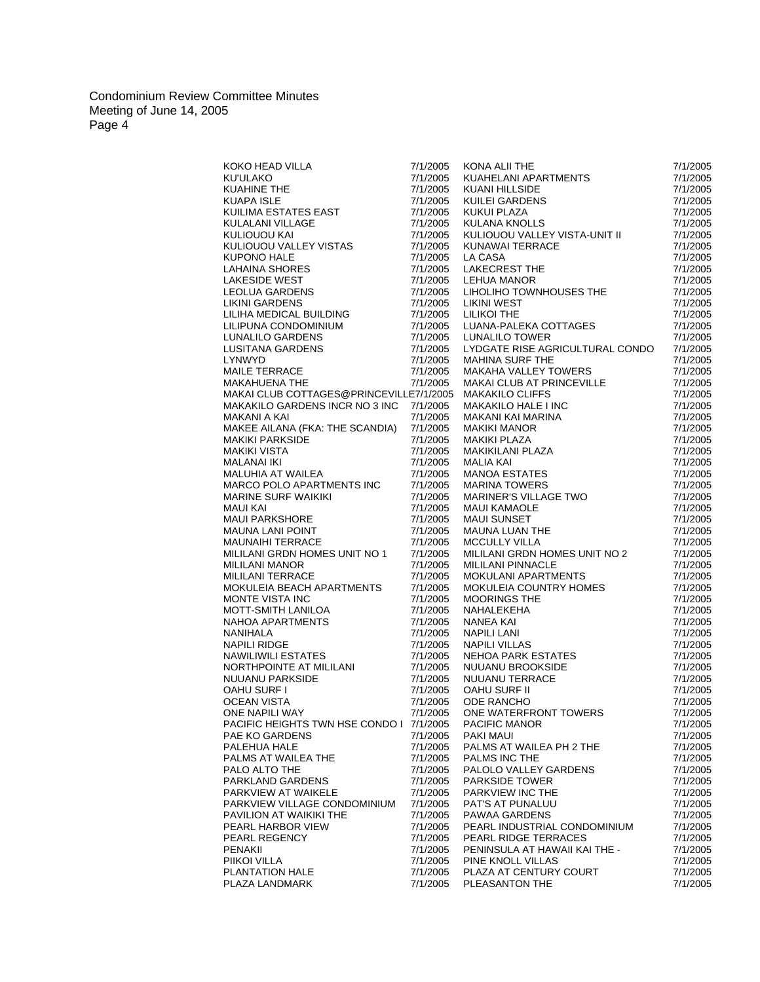|                                                                                                                                                                                                                                                                                                                  | 7/1/2005 |                                                                                                                                                                                                                                                                             | 7/1/2005 |
|------------------------------------------------------------------------------------------------------------------------------------------------------------------------------------------------------------------------------------------------------------------------------------------------------------------|----------|-----------------------------------------------------------------------------------------------------------------------------------------------------------------------------------------------------------------------------------------------------------------------------|----------|
|                                                                                                                                                                                                                                                                                                                  | 7/1/2005 |                                                                                                                                                                                                                                                                             | 7/1/2005 |
|                                                                                                                                                                                                                                                                                                                  | 7/1/2005 |                                                                                                                                                                                                                                                                             | 7/1/2005 |
|                                                                                                                                                                                                                                                                                                                  | 7/1/2005 |                                                                                                                                                                                                                                                                             | 7/1/2005 |
|                                                                                                                                                                                                                                                                                                                  | 7/1/2005 |                                                                                                                                                                                                                                                                             | 7/1/2005 |
|                                                                                                                                                                                                                                                                                                                  | 7/1/2005 | KONA ALII THE<br>KUAHELANI APARTMENTS<br>KUANI HILLSIDE<br>KUILEI GARDENS<br>KUKUI PLAZA<br>KULANA KNOLLS                                                                                                                                                                   | 7/1/2005 |
|                                                                                                                                                                                                                                                                                                                  |          | KULIOUOU VALLEY VISTA-UNIT II                                                                                                                                                                                                                                               |          |
|                                                                                                                                                                                                                                                                                                                  | 7/1/2005 |                                                                                                                                                                                                                                                                             | 7/1/2005 |
|                                                                                                                                                                                                                                                                                                                  | 7/1/2005 |                                                                                                                                                                                                                                                                             | 7/1/2005 |
|                                                                                                                                                                                                                                                                                                                  | 7/1/2005 |                                                                                                                                                                                                                                                                             | 7/1/2005 |
|                                                                                                                                                                                                                                                                                                                  | 7/1/2005 |                                                                                                                                                                                                                                                                             | 7/1/2005 |
|                                                                                                                                                                                                                                                                                                                  | 7/1/2005 | KUNAWAI TERRACE<br>LA CASA<br>LAKECREST THE<br>LEHUA MANOR<br>LIHOLIHO TOWNHOUSES THE                                                                                                                                                                                       | 7/1/2005 |
|                                                                                                                                                                                                                                                                                                                  | 7/1/2005 |                                                                                                                                                                                                                                                                             | 7/1/2005 |
|                                                                                                                                                                                                                                                                                                                  | 7/1/2005 | בומושו (TRST)<br>LILIKOI THE<br>LUANA-PALEKA COTTAGES<br>LUNAI II O TOMEP                                                                                                                                                                                                   | 7/1/2005 |
|                                                                                                                                                                                                                                                                                                                  | 7/1/2005 |                                                                                                                                                                                                                                                                             | 7/1/2005 |
|                                                                                                                                                                                                                                                                                                                  | 7/1/2005 |                                                                                                                                                                                                                                                                             | 7/1/2005 |
|                                                                                                                                                                                                                                                                                                                  | 7/1/2005 | LUNALILO TOWER                                                                                                                                                                                                                                                              | 7/1/2005 |
|                                                                                                                                                                                                                                                                                                                  | 7/1/2005 | LYDGATE RISE AGRICULTURAL CONDO                                                                                                                                                                                                                                             | 7/1/2005 |
|                                                                                                                                                                                                                                                                                                                  | 7/1/2005 | MAHINA SURF THE                                                                                                                                                                                                                                                             | 7/1/2005 |
|                                                                                                                                                                                                                                                                                                                  | 7/1/2005 |                                                                                                                                                                                                                                                                             | 7/1/2005 |
|                                                                                                                                                                                                                                                                                                                  | 7/1/2005 | MAKAHA VALLEY TOWERS<br>MAKAI CLUB AT PRINCEVILLE                                                                                                                                                                                                                           | 7/1/2005 |
| KOKO HEAD VILLA<br>KU'ULAKO<br>KUAHINE THE<br>KUAPA ISLE<br>KULIMA ESTATES EAST<br>KULIOUOU VAILEY VISTAS<br>KULIOUOU VAILEY VISTAS<br>KULIOUOU VALLEY VISTAS<br>KUPONO HALE<br>LAHAINA SHORES<br>LAHAINA SHORES<br>LEOLUA GARDENS<br>LILIHA MEDICAL BUILDING<br>LILI<br>MAKAI CLUB COTTAGES@PRINCEVILLE7/1/2005 |          |                                                                                                                                                                                                                                                                             | 7/1/2005 |
| <b>MAKAKILO GARDENS INCR NO 3 INC</b>                                                                                                                                                                                                                                                                            |          |                                                                                                                                                                                                                                                                             |          |
|                                                                                                                                                                                                                                                                                                                  | 7/1/2005 |                                                                                                                                                                                                                                                                             | 7/1/2005 |
| MAKANI A KAI                                                                                                                                                                                                                                                                                                     | 7/1/2005 |                                                                                                                                                                                                                                                                             | 7/1/2005 |
| MAKEE AILANA (FKA: THE SCANDIA)                                                                                                                                                                                                                                                                                  | 7/1/2005 |                                                                                                                                                                                                                                                                             | 7/1/2005 |
| MAKIKI PARKSIDE<br>MAKIKI VISTA<br>MALANAI IKI<br>MALUHIA AT WAILEA                                                                                                                                                                                                                                              | 7/1/2005 |                                                                                                                                                                                                                                                                             | 7/1/2005 |
|                                                                                                                                                                                                                                                                                                                  | 7/1/2005 |                                                                                                                                                                                                                                                                             | 7/1/2005 |
|                                                                                                                                                                                                                                                                                                                  | 7/1/2005 |                                                                                                                                                                                                                                                                             | 7/1/2005 |
|                                                                                                                                                                                                                                                                                                                  | 7/1/2005 |                                                                                                                                                                                                                                                                             | 7/1/2005 |
| MARCO POLO APARTMENTS INC                                                                                                                                                                                                                                                                                        | 7/1/2005 |                                                                                                                                                                                                                                                                             | 7/1/2005 |
|                                                                                                                                                                                                                                                                                                                  | 7/1/2005 |                                                                                                                                                                                                                                                                             | 7/1/2005 |
|                                                                                                                                                                                                                                                                                                                  | 7/1/2005 |                                                                                                                                                                                                                                                                             | 7/1/2005 |
|                                                                                                                                                                                                                                                                                                                  | 7/1/2005 |                                                                                                                                                                                                                                                                             | 7/1/2005 |
| MARINE SURF WAIKIKI<br>MAUI KAI<br>MAUI PARKSHORE<br>MAUNA LANI POINT<br>MAUNAIHI TERRACE                                                                                                                                                                                                                        | 7/1/2005 | MAKAI CLUB AT PRINCEVILLE<br>MAKAKILO CLIFFS<br>MAKAKILO HALE I INC<br>MAKANI KAI MANOR<br>MAKIKI MANOR<br>MAKIKI PLAZA<br>MAKIKI PLAZA<br>MAKIKILANI PLAZA<br>MAILA KAI<br>MANOA ESTATES<br>MARINA TOWERS<br>MARINER'S VILLAGE TWO<br>MAUI KAMAOLE<br>MAUI SUNSET<br>MA    | 7/1/2005 |
| MAUNAIHI TERRACE                                                                                                                                                                                                                                                                                                 | 7/1/2005 | <b>MCCULLY VILLA</b>                                                                                                                                                                                                                                                        | 7/1/2005 |
| MILILANI GRDN HOMES UNIT NO 1                                                                                                                                                                                                                                                                                    | 7/1/2005 | MILILANI GRDN HOMES UNIT NO 2                                                                                                                                                                                                                                               | 7/1/2005 |
| <b>MILILANI MANOR</b>                                                                                                                                                                                                                                                                                            | 7/1/2005 | <b>MILILANI PINNACLE</b>                                                                                                                                                                                                                                                    | 7/1/2005 |
| MILILANI TERRACE                                                                                                                                                                                                                                                                                                 | 7/1/2005 |                                                                                                                                                                                                                                                                             | 7/1/2005 |
| MOKULEIA BEACH APARTMENTS                                                                                                                                                                                                                                                                                        | 7/1/2005 |                                                                                                                                                                                                                                                                             | 7/1/2005 |
| MONTE VISTA INC                                                                                                                                                                                                                                                                                                  | 7/1/2005 | MILILANI PINNACLE<br>MOKULANI APARTMENTS<br>MOKULEIA COUNTRY HOMES<br>MOORINGS THE<br>NANEA KAI<br>NANEA KAI<br>NANEA KAI<br>NAPILI UILLAS<br>NEHOA PARK ESTATES<br>NUUANU BROOKSIDE<br>NUUANU BROOKSIDE<br>NUUANU TERRACE<br>OAHU SURF II<br>ODE RANCHO<br>ODE RANCHO<br>O | 7/1/2005 |
| MOTT-SMITH LANILOA                                                                                                                                                                                                                                                                                               | 7/1/2005 |                                                                                                                                                                                                                                                                             | 7/1/2005 |
| MOTT-SMITH LANILOA<br>NAHOA APARTMENTS<br>NAPIHL RIDGE<br>NAWILIWILI ESTATES<br>NAVILIWILI ESTATES<br>NORTHPOINTE AT MILILANI<br>NUUANU PARKSIDE<br>OAHU SURF I<br>OCEAN VISTA<br>ONE NAPILI WAY<br>ONE NAPILI WAY                                                                                               | 7/1/2005 |                                                                                                                                                                                                                                                                             | 7/1/2005 |
|                                                                                                                                                                                                                                                                                                                  | 7/1/2005 |                                                                                                                                                                                                                                                                             | 7/1/2005 |
|                                                                                                                                                                                                                                                                                                                  |          |                                                                                                                                                                                                                                                                             |          |
|                                                                                                                                                                                                                                                                                                                  | 7/1/2005 |                                                                                                                                                                                                                                                                             | 7/1/2005 |
|                                                                                                                                                                                                                                                                                                                  | 7/1/2005 |                                                                                                                                                                                                                                                                             | 7/1/2005 |
|                                                                                                                                                                                                                                                                                                                  | 7/1/2005 |                                                                                                                                                                                                                                                                             | 7/1/2005 |
|                                                                                                                                                                                                                                                                                                                  | 7/1/2005 |                                                                                                                                                                                                                                                                             | 7/1/2005 |
|                                                                                                                                                                                                                                                                                                                  | 7/1/2005 |                                                                                                                                                                                                                                                                             | 7/1/2005 |
|                                                                                                                                                                                                                                                                                                                  | 7/1/2005 |                                                                                                                                                                                                                                                                             | 7/1/2005 |
|                                                                                                                                                                                                                                                                                                                  | 7/1/2005 |                                                                                                                                                                                                                                                                             | 7/1/2005 |
| PACIFIC HEIGHTS TWN HSE CONDO I 7/1/2005                                                                                                                                                                                                                                                                         |          | PACIFIC MANOR                                                                                                                                                                                                                                                               | 7/1/2005 |
| PAE KO GARDENS                                                                                                                                                                                                                                                                                                   | 7/1/2005 | PAKI MAUI                                                                                                                                                                                                                                                                   | 7/1/2005 |
| PALEHUA HALE                                                                                                                                                                                                                                                                                                     | 7/1/2005 | PALMS AT WAILEA PH 2 THE                                                                                                                                                                                                                                                    | 7/1/2005 |
| PALMS AT WAILEA THE                                                                                                                                                                                                                                                                                              | 7/1/2005 | PALMS INC THE                                                                                                                                                                                                                                                               | 7/1/2005 |
| PALO ALTO THE                                                                                                                                                                                                                                                                                                    | 7/1/2005 | PALOLO VALLEY GARDENS                                                                                                                                                                                                                                                       | 7/1/2005 |
| PARKLAND GARDENS                                                                                                                                                                                                                                                                                                 | 7/1/2005 | <b>PARKSIDE TOWER</b>                                                                                                                                                                                                                                                       | 7/1/2005 |
| PARKVIEW AT WAIKELE                                                                                                                                                                                                                                                                                              | 7/1/2005 | PARKVIEW INC THE                                                                                                                                                                                                                                                            | 7/1/2005 |
| PARKVIEW VILLAGE CONDOMINIUM                                                                                                                                                                                                                                                                                     | 7/1/2005 | PAT'S AT PUNALUU                                                                                                                                                                                                                                                            | 7/1/2005 |
| PAVILION AT WAIKIKI THE                                                                                                                                                                                                                                                                                          | 7/1/2005 | PAWAA GARDENS                                                                                                                                                                                                                                                               | 7/1/2005 |
| PEARL HARBOR VIEW                                                                                                                                                                                                                                                                                                | 7/1/2005 | PEARL INDUSTRIAL CONDOMINIUM                                                                                                                                                                                                                                                | 7/1/2005 |
| PEARL REGENCY                                                                                                                                                                                                                                                                                                    |          | PEARL RIDGE TERRACES                                                                                                                                                                                                                                                        | 7/1/2005 |
|                                                                                                                                                                                                                                                                                                                  | 7/1/2005 |                                                                                                                                                                                                                                                                             |          |
| <b>PENAKII</b>                                                                                                                                                                                                                                                                                                   | 7/1/2005 | PENINSULA AT HAWAII KAI THE -                                                                                                                                                                                                                                               | 7/1/2005 |
| PIIKOI VILLA                                                                                                                                                                                                                                                                                                     | 7/1/2005 | PINE KNOLL VILLAS                                                                                                                                                                                                                                                           | 7/1/2005 |
| PLANTATION HALE                                                                                                                                                                                                                                                                                                  | 7/1/2005 | PLAZA AT CENTURY COURT                                                                                                                                                                                                                                                      | 7/1/2005 |
| PLAZA LANDMARK                                                                                                                                                                                                                                                                                                   | 7/1/2005 | PLEASANTON THE                                                                                                                                                                                                                                                              | 7/1/2005 |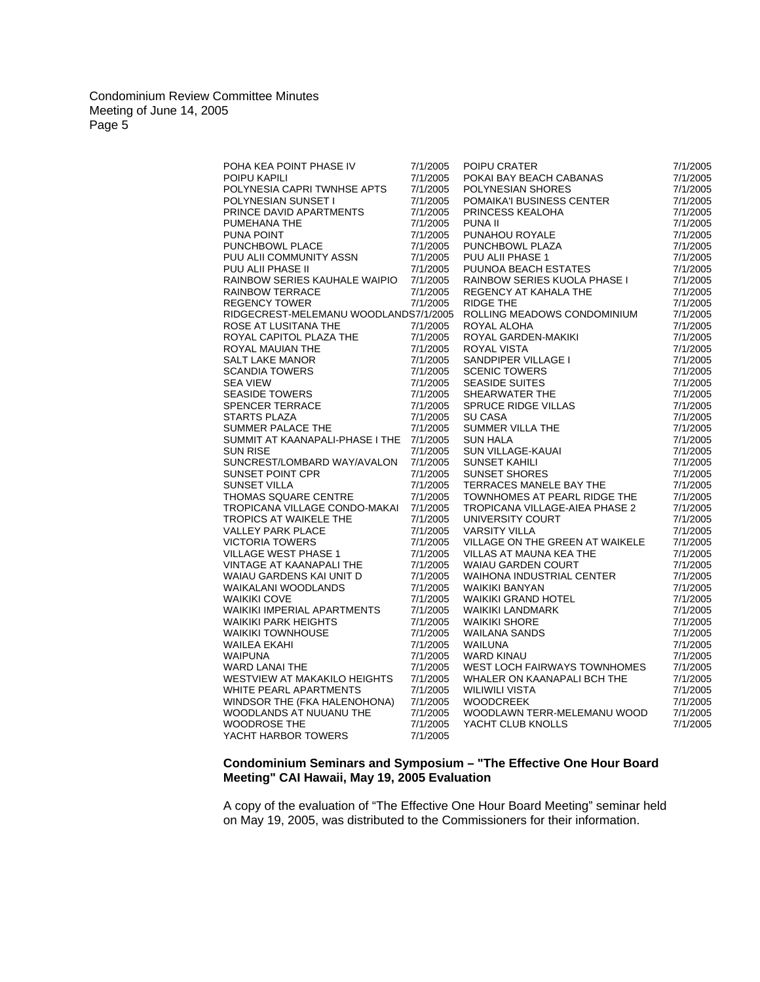| POHA KEA POINT PHASE IV                                                                                                                                          | 7/1/2005             | POIPU CRATER                                                                                                                                                                                                                                                                | 7/1/2005             |
|------------------------------------------------------------------------------------------------------------------------------------------------------------------|----------------------|-----------------------------------------------------------------------------------------------------------------------------------------------------------------------------------------------------------------------------------------------------------------------------|----------------------|
| POIPU KAPILI                                                                                                                                                     | 7/1/2005             | POKAI BAY BEACH CABANAS                                                                                                                                                                                                                                                     | 7/1/2005             |
| POLYNESIA CAPRI TWNHSE APTS                                                                                                                                      | 7/1/2005             | POLYNESIAN SHORES                                                                                                                                                                                                                                                           | 7/1/2005             |
| POLYNESIAN SUNSET I                                                                                                                                              | 7/1/2005             | POMAIKA'I BUSINESS CENTER                                                                                                                                                                                                                                                   | 7/1/2005             |
| PRINCE DAVID APARTMENTS                                                                                                                                          | 7/1/2005             |                                                                                                                                                                                                                                                                             | 7/1/2005             |
| PUMEHANA THE                                                                                                                                                     | 7/1/2005             | STALE<br>PUU ALII PHASE 1<br>PUUNOA BEACH ESTATES<br>RAINBOW SERIES KUOLA PHASE<br>REGENCY AT KAHALA T <sup>LIT</sup><br>CLLING ATERE<br>OLLING ATERE                                                                                                                       | 7/1/2005             |
| PUNA POINT                                                                                                                                                       | 7/1/2005             |                                                                                                                                                                                                                                                                             | 7/1/2005             |
| PUNCHBOWL PLACE                                                                                                                                                  | 7/1/2005             |                                                                                                                                                                                                                                                                             | 7/1/2005             |
| PUU ALII COMMUNITY ASSN                                                                                                                                          | 7/1/2005             |                                                                                                                                                                                                                                                                             | 7/1/2005             |
| PUU ALII PHASE II                                                                                                                                                | 7/1/2005             |                                                                                                                                                                                                                                                                             | 7/1/2005             |
| RAINBOW SERIES KAUHALE WAIPIO                                                                                                                                    | 7/1/2005             |                                                                                                                                                                                                                                                                             | 7/1/2005             |
| <b>RAINBOW TERRACE</b>                                                                                                                                           | 7/1/2005             |                                                                                                                                                                                                                                                                             | 7/1/2005             |
| <b>REGENCY TOWER</b>                                                                                                                                             | 7/1/2005             |                                                                                                                                                                                                                                                                             | 7/1/2005             |
| RIDGECREST-MELEMANU WOODLANDS7/1/2005                                                                                                                            |                      |                                                                                                                                                                                                                                                                             | 7/1/2005             |
| ROSE AT LUSITANA THE                                                                                                                                             | 7/1/2005             | ROYAL ALOHA                                                                                                                                                                                                                                                                 | 7/1/2005             |
| ROYAL CAPITOL PLAZA THE                                                                                                                                          | 7/1/2005             |                                                                                                                                                                                                                                                                             | 7/1/2005             |
| ROYAL MAUIAN THE<br>SALT LAKE MANOR<br>SCANDIA TOWERS<br>SEA VIEW<br>SEASIDE TOWERS<br>SPENCER TERRACE<br>STARTS PLAZA<br>SUMMER PALACE THE<br>SUMMER PALACE THE | 7/1/2005             |                                                                                                                                                                                                                                                                             | 7/1/2005             |
|                                                                                                                                                                  | 7/1/2005             |                                                                                                                                                                                                                                                                             | 7/1/2005             |
|                                                                                                                                                                  | 7/1/2005             |                                                                                                                                                                                                                                                                             | 7/1/2005             |
|                                                                                                                                                                  | 7/1/2005             |                                                                                                                                                                                                                                                                             | 7/1/2005             |
|                                                                                                                                                                  | 7/1/2005             |                                                                                                                                                                                                                                                                             | 7/1/2005             |
|                                                                                                                                                                  | 7/1/2005             |                                                                                                                                                                                                                                                                             | 7/1/2005             |
|                                                                                                                                                                  | 7/1/2005             |                                                                                                                                                                                                                                                                             | 7/1/2005             |
|                                                                                                                                                                  | 7/1/2005             |                                                                                                                                                                                                                                                                             | 7/1/2005             |
| SUMMIT AT KAANAPALI-PHASE I THE 7/1/2005                                                                                                                         |                      | ROYAL ALOHA<br>ROYAL GARDEN-MAKIKI<br>ROYAL VISTA<br>SANDPIPER VILLAGE I<br>SCENIC TOWERS<br>SEASIDE SUITES<br>SHEARWATER THE<br>SPRUCE RIDGE VILLAS<br>SU CASA<br>SUMMER VILLA THE<br>SUN HALA<br>SUN HALA<br>SUN VILLAGE-KAUAI<br>SUNSET KAHILI<br>SUNSET RAHILI<br>TERRA | 7/1/2005             |
| <b>SUN RISE</b>                                                                                                                                                  | 7/1/2005             |                                                                                                                                                                                                                                                                             | 7/1/2005             |
| SUNCREST/LOMBARD WAY/AVALON                                                                                                                                      | 7/1/2005             |                                                                                                                                                                                                                                                                             | 7/1/2005             |
| <b>SUNSET POINT CPR</b>                                                                                                                                          | 7/1/2005             |                                                                                                                                                                                                                                                                             | 7/1/2005             |
| SUNSET VILLA                                                                                                                                                     | 7/1/2005             |                                                                                                                                                                                                                                                                             | 7/1/2005             |
| THOMAS SQUARE CENTRE                                                                                                                                             | 7/1/2005             | TOWNHOMES AT PEARL RIDGE THE                                                                                                                                                                                                                                                | 7/1/2005             |
| TROPICANA VILLAGE CONDO-MAKAI                                                                                                                                    | 7/1/2005             | TROPICANA VILLAGE-AIEA PHASE 2                                                                                                                                                                                                                                              | 7/1/2005             |
| <b>TROPICS AT WAIKELE THE</b>                                                                                                                                    | 7/1/2005             | UNIVERSITY COURT                                                                                                                                                                                                                                                            | 7/1/2005             |
| <b>VALLEY PARK PLACE</b>                                                                                                                                         | 7/1/2005             | <b>VARSITY VILLA</b>                                                                                                                                                                                                                                                        | 7/1/2005             |
| <b>VICTORIA TOWERS</b>                                                                                                                                           | 7/1/2005             | VILLAGE ON THE GREEN AT WAIKELE                                                                                                                                                                                                                                             | 7/1/2005             |
| <b>VILLAGE WEST PHASE 1</b>                                                                                                                                      | 7/1/2005             | VILLAS AT MAUNA KEA THE                                                                                                                                                                                                                                                     | 7/1/2005             |
| <b>VINTAGE AT KAANAPALI THE</b>                                                                                                                                  | 7/1/2005             | <b>WAIAU GARDEN COURT</b>                                                                                                                                                                                                                                                   | 7/1/2005             |
| WAIAU GARDENS KAI UNIT D                                                                                                                                         | 7/1/2005             | <b>WAIHONA INDUSTRIAL CENTER</b>                                                                                                                                                                                                                                            | 7/1/2005             |
| <b>WAIKALANI WOODLANDS</b><br><b>WAIKIKI COVE</b>                                                                                                                | 7/1/2005             | <b>WAIKIKI BANYAN</b><br>TEL<br><<br>                                                                                                                                                                                                                                       | 7/1/2005             |
|                                                                                                                                                                  | 7/1/2005             | <b>WAIKIKI GRAND HOTEL</b><br><b>WAIKIKI LANDMARK</b>                                                                                                                                                                                                                       | 7/1/2005             |
| <b>WAIKIKI IMPERIAL APARTMENTS</b>                                                                                                                               | 7/1/2005<br>7/1/2005 |                                                                                                                                                                                                                                                                             | 7/1/2005             |
| WAIKIKI PARK HEIGHTS<br><b>WAIKIKI TOWNHOUSE</b>                                                                                                                 |                      | <b>WAIKIKI SHORE</b>                                                                                                                                                                                                                                                        | 7/1/2005<br>7/1/2005 |
| <b>WAILEA EKAHI</b>                                                                                                                                              | 7/1/2005<br>7/1/2005 | <b>WAILANA SANDS</b><br><b>WAILUNA</b>                                                                                                                                                                                                                                      | 7/1/2005             |
|                                                                                                                                                                  |                      |                                                                                                                                                                                                                                                                             |                      |
| <b>WAIPUNA</b>                                                                                                                                                   | 7/1/2005             | <b>WARD KINAU</b><br>WEST LOCH FAIRWAYS TOWNHOMES                                                                                                                                                                                                                           | 7/1/2005             |
| WARD LANAI THE<br>WESTVIEW AT MAKAKILO HEIGHTS                                                                                                                   | 7/1/2005             |                                                                                                                                                                                                                                                                             | 7/1/2005             |
| <b>WHITE PEARL APARTMENTS</b>                                                                                                                                    | 7/1/2005<br>7/1/2005 | WHALER ON KAANAPALI BCH THE<br><b>WILIWILI VISTA</b>                                                                                                                                                                                                                        | 7/1/2005<br>7/1/2005 |
| WINDSOR THE (FKA HALENOHONA)                                                                                                                                     | 7/1/2005             | <b>WOODCREEK</b>                                                                                                                                                                                                                                                            | 7/1/2005             |
| WOODLANDS AT NUUANU THE                                                                                                                                          | 7/1/2005             | WOODLAWN TERR-MELEMANU WOOD                                                                                                                                                                                                                                                 | 7/1/2005             |
| <b>WOODROSE THE</b>                                                                                                                                              | 7/1/2005             | YACHT CLUB KNOLLS                                                                                                                                                                                                                                                           | 7/1/2005             |
|                                                                                                                                                                  | 7/1/2005             |                                                                                                                                                                                                                                                                             |                      |
| YACHT HARBOR TOWERS                                                                                                                                              |                      |                                                                                                                                                                                                                                                                             |                      |

# **Condominium Seminars and Symposium – "The Effective One Hour Board Meeting" CAI Hawaii, May 19, 2005 Evaluation**

A copy of the evaluation of "The Effective One Hour Board Meeting" seminar held on May 19, 2005, was distributed to the Commissioners for their information.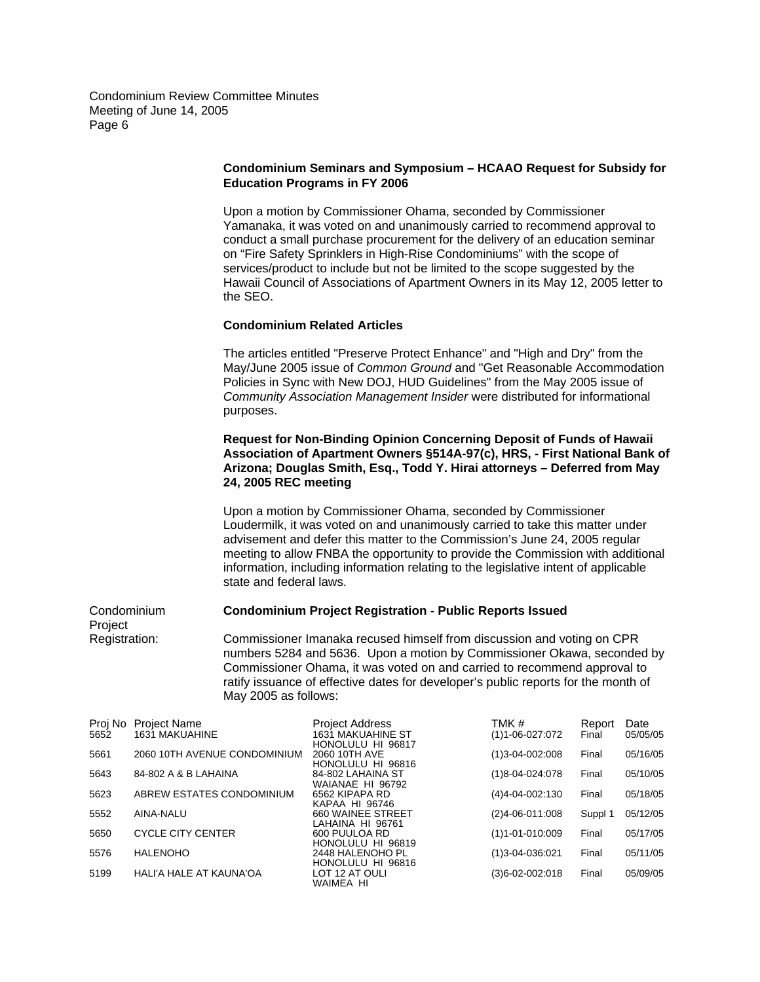Project

### **Condominium Seminars and Symposium – HCAAO Request for Subsidy for Education Programs in FY 2006**

Upon a motion by Commissioner Ohama, seconded by Commissioner Yamanaka, it was voted on and unanimously carried to recommend approval to conduct a small purchase procurement for the delivery of an education seminar on "Fire Safety Sprinklers in High-Rise Condominiums" with the scope of services/product to include but not be limited to the scope suggested by the Hawaii Council of Associations of Apartment Owners in its May 12, 2005 letter to the SEO.

### **Condominium Related Articles**

The articles entitled "Preserve Protect Enhance" and "High and Dry" from the May/June 2005 issue of *Common Ground* and "Get Reasonable Accommodation Policies in Sync with New DOJ, HUD Guidelines" from the May 2005 issue of *Community Association Management Insider* were distributed for informational purposes.

## **Request for Non-Binding Opinion Concerning Deposit of Funds of Hawaii Association of Apartment Owners §514A-97(c), HRS, - First National Bank of Arizona; Douglas Smith, Esq., Todd Y. Hirai attorneys – Deferred from May 24, 2005 REC meeting**

Upon a motion by Commissioner Ohama, seconded by Commissioner Loudermilk, it was voted on and unanimously carried to take this matter under advisement and defer this matter to the Commission's June 24, 2005 regular meeting to allow FNBA the opportunity to provide the Commission with additional information, including information relating to the legislative intent of applicable state and federal laws.

#### Condominium **Condominium Project Registration - Public Reports Issued**

Registration: Commissioner Imanaka recused himself from discussion and voting on CPR numbers 5284 and 5636. Upon a motion by Commissioner Okawa, seconded by Commissioner Ohama, it was voted on and carried to recommend approval to ratify issuance of effective dates for developer's public reports for the month of May 2005 as follows:

| Proj No | <b>Project Name</b>          | <b>Project Address</b>   | TMK #                       | Report  | Date     |
|---------|------------------------------|--------------------------|-----------------------------|---------|----------|
| 5652    | <b>1631 MAKUAHINE</b>        | <b>1631 MAKUAHINE ST</b> | $(1)1 - 06 - 027:072$       | Final   | 05/05/05 |
|         |                              | HONOLULU HI 96817        |                             |         |          |
| 5661    | 2060 10TH AVENUE CONDOMINIUM | 2060 10TH AVE            | (1)3-04-002:008             | Final   | 05/16/05 |
|         |                              | HONOLULU HI 96816        |                             |         |          |
| 5643    | 84-802 A & B LAHAINA         | 84-802 LAHAINA ST        | $(1)8 - 04 - 024.078$       | Final   | 05/10/05 |
|         |                              | WAIANAE HI 96792         |                             |         |          |
| 5623    | ABREW ESTATES CONDOMINIUM    | 6562 KIPAPA RD           | (4)4-04-002:130             | Final   | 05/18/05 |
|         |                              | KAPAA HI 96746           |                             |         |          |
| 5552    | AINA-NALU                    | 660 WAINEE STREET        | $(2)4 - 06 - 011:008$       | Suppl 1 | 05/12/05 |
|         |                              | LAHAINA HI 96761         |                             |         |          |
| 5650    | <b>CYCLE CITY CENTER</b>     | 600 PUULOA RD            | (1)1-01-010:009             | Final   | 05/17/05 |
|         |                              | HONOLULU HI 96819        |                             |         |          |
| 5576    | <b>HALENOHO</b>              | 2448 HALENOHO PL         | $(1)3 - 04 - 036.021$       | Final   | 05/11/05 |
|         |                              | HONOLULU HI 96816        |                             |         |          |
| 5199    | HALI'A HALE AT KAUNA'OA      | LOT 12 AT OULI           | $(3)6 - 02 - 002 \cdot 018$ | Final   | 05/09/05 |
|         |                              | WAIMEA HI                |                             |         |          |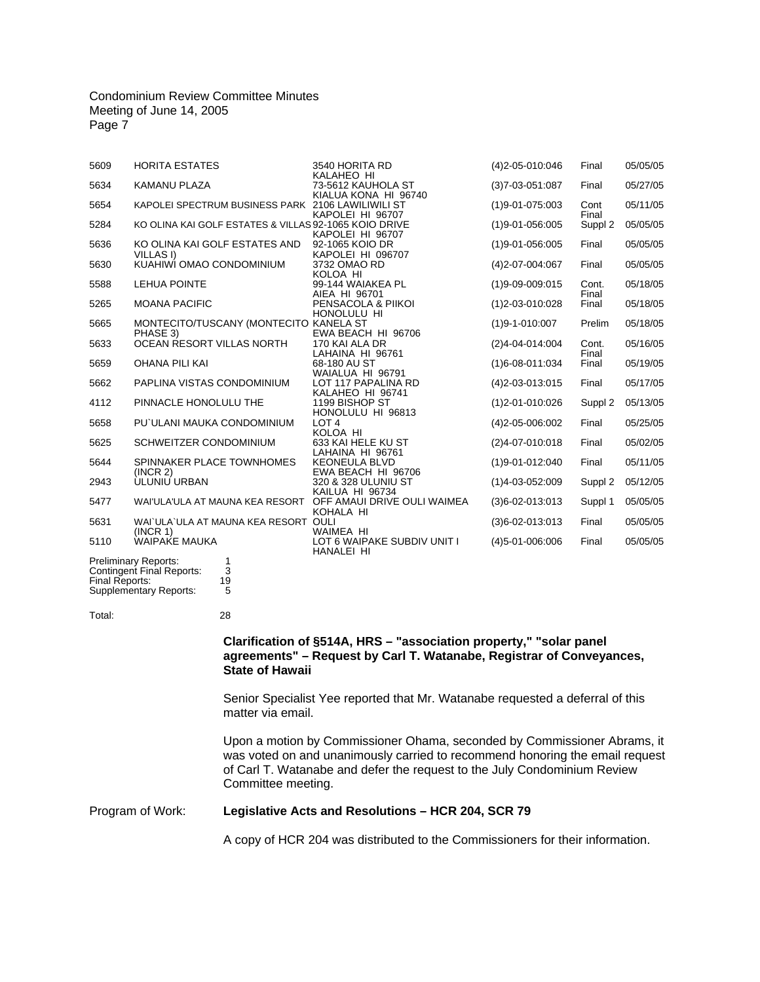| 5609 | <b>HORITA ESTATES</b>                                              | 3540 HORITA RD<br>KALAHEO HI                     | $(4)$ 2-05-010:046          | Final          | 05/05/05 |
|------|--------------------------------------------------------------------|--------------------------------------------------|-----------------------------|----------------|----------|
| 5634 | KAMANU PLAZA                                                       | 73-5612 KAUHOLA ST<br>KIALUA KONA HI 96740       | $(3)7 - 03 - 051 \cdot 087$ | Final          | 05/27/05 |
| 5654 | KAPOLEI SPECTRUM BUSINESS PARK 2106 LAWILIWILI ST                  | KAPOLEI HI 96707                                 | $(1)9 - 01 - 075.003$       | Cont<br>Final  | 05/11/05 |
| 5284 | KO OLINA KAI GOLF ESTATES & VILLAS 92-1065 KOIO DRIVE              | KAPOLEI HI 96707                                 | $(1)9 - 01 - 056:005$       | Suppl 2        | 05/05/05 |
| 5636 | KO OLINA KAI GOLF ESTATES AND<br><b>VILLAS I)</b>                  | 92-1065 KOIO DR<br>KAPOLEI HI 096707             | $(1)9 - 01 - 056:005$       | Final          | 05/05/05 |
| 5630 | KUAHIWI OMAO CONDOMINIUM                                           | 3732 OMAO RD<br>KOLOA HI                         | $(4)2 - 07 - 004:067$       | Final          | 05/05/05 |
| 5588 | <b>LEHUA POINTE</b>                                                | 99-144 WAIAKEA PL<br>AIEA HI 96701               | $(1)9 - 09 - 009 \cdot 015$ | Cont.<br>Final | 05/18/05 |
| 5265 | <b>MOANA PACIFIC</b>                                               | PENSACOLA & PIIKOI<br>HONOLULU HI                | $(1)2 - 03 - 010:028$       | Final          | 05/18/05 |
| 5665 | MONTECITO/TUSCANY (MONTECITO KANELA ST<br>PHASE 3)                 | EWA BEACH HI 96706                               | $(1)9 - 1 - 010:007$        | Prelim         | 05/18/05 |
| 5633 | OCEAN RESORT VILLAS NORTH                                          | 170 KAI ALA DR<br>LAHAINA HI 96761               | $(2)4 - 04 - 014 \cdot 004$ | Cont.<br>Final | 05/16/05 |
| 5659 | OHANA PILI KAI                                                     | 68-180 AU ST<br>WAIALUA HI 96791                 | $(1)6 - 08 - 011$ :034      | Final          | 05/19/05 |
| 5662 | PAPLINA VISTAS CONDOMINIUM                                         | LOT 117 PAPALINA RD<br>KALAHEO HI 96741          | (4) 2-03-013:015            | Final          | 05/17/05 |
| 4112 | PINNACLE HONOLULU THE                                              | 1199 BISHOP ST<br>HONOLULU HI 96813              | $(1)$ 2-01-010:026          | Suppl 2        | 05/13/05 |
| 5658 | PU'ULANI MAUKA CONDOMINIUM                                         | LOT <sub>4</sub><br>KOLOA HI                     | $(4)2 - 05 - 006 \cdot 002$ | Final          | 05/25/05 |
| 5625 | SCHWEITZER CONDOMINIUM                                             | 633 KAI HELE KU ST<br>LAHAINA HI 96761           | $(2)4 - 07 - 010:018$       | Final          | 05/02/05 |
| 5644 | SPINNAKER PLACE TOWNHOMES<br>(INCR 2)                              | <b>KEONEULA BLVD</b><br>EWA BEACH HI 96706       | $(1)9 - 01 - 012:040$       | Final          | 05/11/05 |
| 2943 | <b>ÚLUNIU URBAN</b>                                                | 320 & 328 ULUNIU ST<br>KAILUA HI 96734           | $(1)4 - 03 - 052:009$       | Suppl 2        | 05/12/05 |
| 5477 | WAI'ULA'ULA AT MAUNA KEA RESORT OFF AMAUI DRIVE OULI WAIMEA        | KOHALA HI                                        | $(3)6 - 02 - 013.013$       | Suppl 1        | 05/05/05 |
| 5631 | WAI`ULA`ULA AT MAUNA KEA RESORT OULI<br>(INCR 1)                   | <b>WAIMEA HI</b>                                 | $(3)6 - 02 - 013 \cdot 013$ | Final          | 05/05/05 |
| 5110 | <b>WAIPAKE MAUKA</b>                                               | LOT 6 WAIPAKE SUBDIV UNIT I<br><b>HANALEI HI</b> | $(4)5 - 01 - 006:006$       | Final          | 05/05/05 |
|      | <b>Preliminary Reports:</b><br>1<br>3<br>Contingent Final Reports: |                                                  |                             |                |          |

Preliminary Reports: Contingent Final Reports: Final Reports: Supplementary Reports: 19 5

Total: 28

# **Clarification of §514A, HRS – "association property," "solar panel agreements" – Request by Carl T. Watanabe, Registrar of Conveyances, State of Hawaii**

Senior Specialist Yee reported that Mr. Watanabe requested a deferral of this matter via email.

Upon a motion by Commissioner Ohama, seconded by Commissioner Abrams, it was voted on and unanimously carried to recommend honoring the email request of Carl T. Watanabe and defer the request to the July Condominium Review Committee meeting.

# Program of Work: **Legislative Acts and Resolutions – HCR 204, SCR 79**

A copy of HCR 204 was distributed to the Commissioners for their information.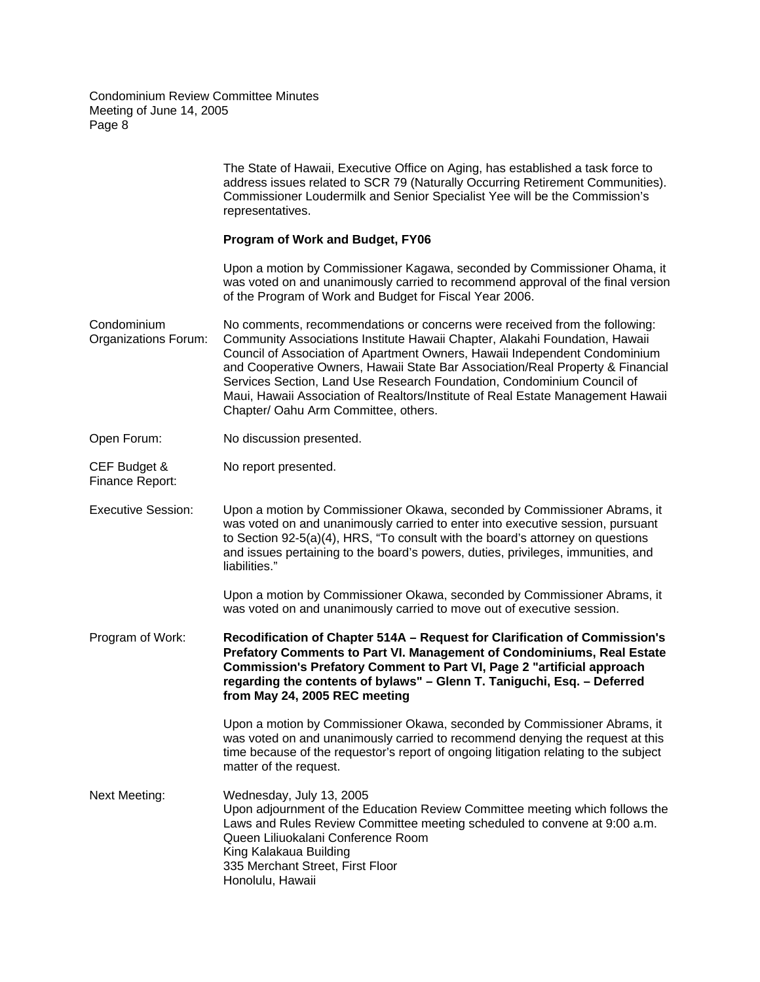|                                     | The State of Hawaii, Executive Office on Aging, has established a task force to<br>address issues related to SCR 79 (Naturally Occurring Retirement Communities).<br>Commissioner Loudermilk and Senior Specialist Yee will be the Commission's<br>representatives.                                                                                                                                                                                                                                                            |
|-------------------------------------|--------------------------------------------------------------------------------------------------------------------------------------------------------------------------------------------------------------------------------------------------------------------------------------------------------------------------------------------------------------------------------------------------------------------------------------------------------------------------------------------------------------------------------|
|                                     | <b>Program of Work and Budget, FY06</b>                                                                                                                                                                                                                                                                                                                                                                                                                                                                                        |
|                                     | Upon a motion by Commissioner Kagawa, seconded by Commissioner Ohama, it<br>was voted on and unanimously carried to recommend approval of the final version<br>of the Program of Work and Budget for Fiscal Year 2006.                                                                                                                                                                                                                                                                                                         |
| Condominium<br>Organizations Forum: | No comments, recommendations or concerns were received from the following:<br>Community Associations Institute Hawaii Chapter, Alakahi Foundation, Hawaii<br>Council of Association of Apartment Owners, Hawaii Independent Condominium<br>and Cooperative Owners, Hawaii State Bar Association/Real Property & Financial<br>Services Section, Land Use Research Foundation, Condominium Council of<br>Maui, Hawaii Association of Realtors/Institute of Real Estate Management Hawaii<br>Chapter/ Oahu Arm Committee, others. |
| Open Forum:                         | No discussion presented.                                                                                                                                                                                                                                                                                                                                                                                                                                                                                                       |
| CEF Budget &<br>Finance Report:     | No report presented.                                                                                                                                                                                                                                                                                                                                                                                                                                                                                                           |
| <b>Executive Session:</b>           | Upon a motion by Commissioner Okawa, seconded by Commissioner Abrams, it<br>was voted on and unanimously carried to enter into executive session, pursuant<br>to Section 92-5(a)(4), HRS, "To consult with the board's attorney on questions<br>and issues pertaining to the board's powers, duties, privileges, immunities, and<br>liabilities."                                                                                                                                                                              |
|                                     | Upon a motion by Commissioner Okawa, seconded by Commissioner Abrams, it<br>was voted on and unanimously carried to move out of executive session.                                                                                                                                                                                                                                                                                                                                                                             |
| Program of Work:                    | Recodification of Chapter 514A - Request for Clarification of Commission's<br>Prefatory Comments to Part VI. Management of Condominiums, Real Estate<br>Commission's Prefatory Comment to Part VI, Page 2 "artificial approach<br>regarding the contents of bylaws" - Glenn T. Taniguchi, Esq. - Deferred<br>from May 24, 2005 REC meeting                                                                                                                                                                                     |
|                                     | Upon a motion by Commissioner Okawa, seconded by Commissioner Abrams, it<br>was voted on and unanimously carried to recommend denying the request at this<br>time because of the requestor's report of ongoing litigation relating to the subject<br>matter of the request.                                                                                                                                                                                                                                                    |
| Next Meeting:                       | Wednesday, July 13, 2005<br>Upon adjournment of the Education Review Committee meeting which follows the<br>Laws and Rules Review Committee meeting scheduled to convene at 9:00 a.m.<br>Queen Liliuokalani Conference Room<br>King Kalakaua Building<br>335 Merchant Street, First Floor<br>Honolulu, Hawaii                                                                                                                                                                                                                  |